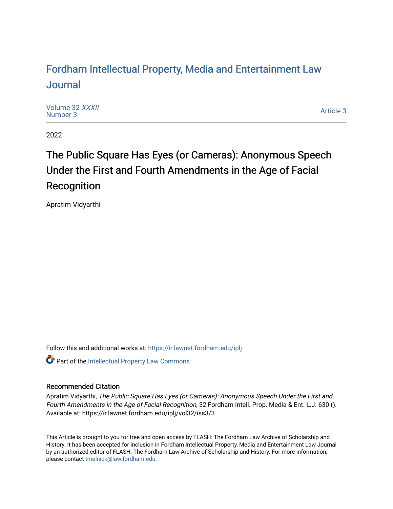# For[dham Intellectual Property, Media and Enter](https://ir.lawnet.fordham.edu/iplj)tainment Law [Journal](https://ir.lawnet.fordham.edu/iplj)

[Volume 32](https://ir.lawnet.fordham.edu/iplj/vol32) XXXII<br>Number 3 [Number 3](https://ir.lawnet.fordham.edu/iplj/vol32/iss3)2 AAAh<br>Number 3 [Article 3](https://ir.lawnet.fordham.edu/iplj/vol32/iss3/3) Article 3 Article 3 Article 3 Article 3 Article 3

2022

# The Public Square Has Eyes (or Cameras): Anonymous Speech Under the First and Fourth Amendments in the Age of Facial Recognition

Apratim Vidyarthi

Follow this and additional works at: [https://ir.lawnet.fordham.edu/iplj](https://ir.lawnet.fordham.edu/iplj?utm_source=ir.lawnet.fordham.edu%2Fiplj%2Fvol32%2Fiss3%2F3&utm_medium=PDF&utm_campaign=PDFCoverPages) 

Part of the [Intellectual Property Law Commons](http://network.bepress.com/hgg/discipline/896?utm_source=ir.lawnet.fordham.edu%2Fiplj%2Fvol32%2Fiss3%2F3&utm_medium=PDF&utm_campaign=PDFCoverPages) 

# Recommended Citation

Apratim Vidyarthi, The Public Square Has Eyes (or Cameras): Anonymous Speech Under the First and Fourth Amendments in the Age of Facial Recognition, 32 Fordham Intell. Prop. Media & Ent. L.J. 630 (). Available at: https://ir.lawnet.fordham.edu/iplj/vol32/iss3/3

This Article is brought to you for free and open access by FLASH: The Fordham Law Archive of Scholarship and History. It has been accepted for inclusion in Fordham Intellectual Property, Media and Entertainment Law Journal by an authorized editor of FLASH: The Fordham Law Archive of Scholarship and History. For more information, please contact [tmelnick@law.fordham.edu](mailto:tmelnick@law.fordham.edu).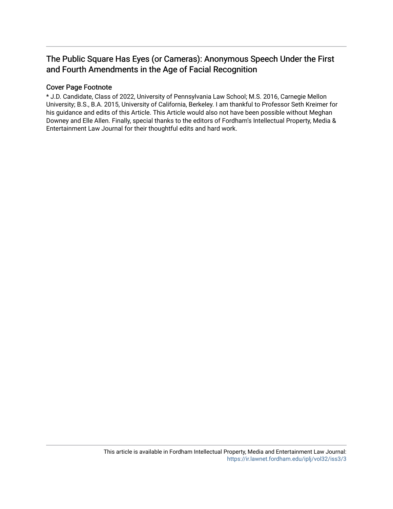# The Public Square Has Eyes (or Cameras): Anonymous Speech Under the First and Fourth Amendments in the Age of Facial Recognition

# Cover Page Footnote

\* J.D. Candidate, Class of 2022, University of Pennsylvania Law School; M.S. 2016, Carnegie Mellon University; B.S., B.A. 2015, University of California, Berkeley. I am thankful to Professor Seth Kreimer for his guidance and edits of this Article. This Article would also not have been possible without Meghan Downey and Elle Allen. Finally, special thanks to the editors of Fordham's Intellectual Property, Media & Entertainment Law Journal for their thoughtful edits and hard work.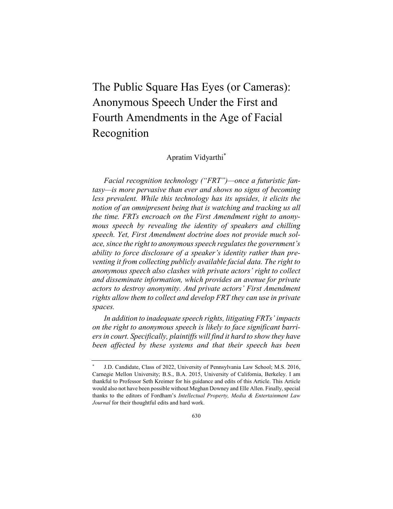The Public Square Has Eyes (or Cameras): Anonymous Speech Under the First and Fourth Amendments in the Age of Facial Recognition

Apratim Vidyarthi \*

*Facial recognition technology ("FRT")—once a futuristic fantasy—is more pervasive than ever and shows no signs of becoming less prevalent. While this technology has its upsides, it elicits the notion of an omnipresent being that is watching and tracking us all the time. FRTs encroach on the First Amendment right to anonymous speech by revealing the identity of speakers and chilling speech. Yet, First Amendment doctrine does not provide much solace, since the right to anonymous speech regulates the government's ability to force disclosure of a speaker's identity rather than preventing it from collecting publicly available facial data. The right to anonymous speech also clashes with private actors' right to collect and disseminate information, which provides an avenue for private actors to destroy anonymity. And private actors' First Amendment rights allow them to collect and develop FRT they can use in private spaces.*

*In addition to inadequate speech rights, litigating FRTs' impacts on the right to anonymous speech is likely to face significant barriers in court. Specifically, plaintiffs will find it hard to show they have been affected by these systems and that their speech has been* 

J.D. Candidate, Class of 2022, University of Pennsylvania Law School; M.S. 2016, Carnegie Mellon University; B.S., B.A. 2015, University of California, Berkeley. I am thankful to Professor Seth Kreimer for his guidance and edits of this Article. This Article would also not have been possible without Meghan Downey and Elle Allen. Finally, special thanks to the editors of Fordham's *Intellectual Property, Media & Entertainment Law Journal* for their thoughtful edits and hard work.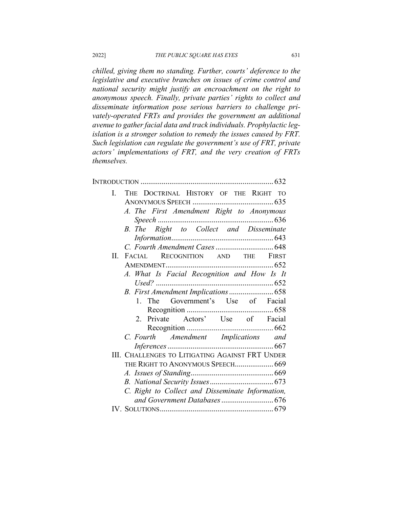*chilled, giving them no standing. Further, courts' deference to the legislative and executive branches on issues of crime control and national security might justify an encroachment on the right to anonymous speech. Finally, private parties' rights to collect and disseminate information pose serious barriers to challenge privately-operated FRTs and provides the government an additional avenue to gather facial data and track individuals. Prophylactic legislation is a stronger solution to remedy the issues caused by FRT. Such legislation can regulate the government's use of FRT, private actors' implementations of FRT, and the very creation of FRTs themselves.*

| Ι.                                               | THE DOCTRINAL HISTORY OF THE RIGHT TO                  |  |  |  |  |  |
|--------------------------------------------------|--------------------------------------------------------|--|--|--|--|--|
|                                                  |                                                        |  |  |  |  |  |
|                                                  | A. The First Amendment Right to Anonymous              |  |  |  |  |  |
|                                                  |                                                        |  |  |  |  |  |
|                                                  | B. The Right to Collect and Disseminate                |  |  |  |  |  |
|                                                  |                                                        |  |  |  |  |  |
|                                                  |                                                        |  |  |  |  |  |
| Н.                                               | FACIAL RECOGNITION AND THE FIRST                       |  |  |  |  |  |
|                                                  |                                                        |  |  |  |  |  |
|                                                  | A. What Is Facial Recognition and How Is It            |  |  |  |  |  |
|                                                  |                                                        |  |  |  |  |  |
|                                                  | B. First Amendment Implications  658                   |  |  |  |  |  |
|                                                  | 1. The Government's Use of Facial                      |  |  |  |  |  |
|                                                  |                                                        |  |  |  |  |  |
|                                                  | 2. Private Actors' Use of Facial                       |  |  |  |  |  |
|                                                  |                                                        |  |  |  |  |  |
|                                                  | C. Fourth Amendment Implications and                   |  |  |  |  |  |
|                                                  |                                                        |  |  |  |  |  |
|                                                  | <b>III. CHALLENGES TO LITIGATING AGAINST FRT UNDER</b> |  |  |  |  |  |
|                                                  | THE RIGHT TO ANONYMOUS SPEECH 669                      |  |  |  |  |  |
|                                                  |                                                        |  |  |  |  |  |
|                                                  |                                                        |  |  |  |  |  |
| C. Right to Collect and Disseminate Information, |                                                        |  |  |  |  |  |
|                                                  |                                                        |  |  |  |  |  |
|                                                  |                                                        |  |  |  |  |  |
|                                                  |                                                        |  |  |  |  |  |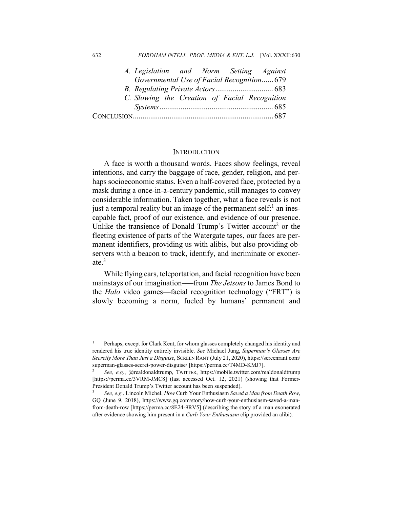#### 632 *FORDHAM INTELL. PROP. MEDIA & ENT. L.J.* [Vol. XXXII:630

| A. Legislation and Norm Setting Against       |  |                                            |
|-----------------------------------------------|--|--------------------------------------------|
|                                               |  | Governmental Use of Facial Recognition 679 |
|                                               |  |                                            |
| C. Slowing the Creation of Facial Recognition |  |                                            |
|                                               |  |                                            |
|                                               |  |                                            |

#### **INTRODUCTION**

A face is worth a thousand words. Faces show feelings, reveal intentions, and carry the baggage of race, gender, religion, and perhaps socioeconomic status. Even a half-covered face, protected by a mask during a once-in-a-century pandemic, still manages to convey considerable information. Taken together, what a face reveals is not just a temporal reality but an image of the permanent self: $<sup>1</sup>$  an ines-</sup> capable fact, proof of our existence, and evidence of our presence. Unlike the transience of Donald Trump's Twitter account<sup>2</sup> or the fleeting existence of parts of the Watergate tapes, our faces are permanent identifiers, providing us with alibis, but also providing observers with a beacon to track, identify, and incriminate or exonerate.<sup>3</sup>

While flying cars, teleportation, and facial recognition have been mainstays of our imagination–—from *The Jetsons* to James Bond to the *Halo* video games—facial recognition technology ("FRT") is slowly becoming a norm, fueled by humans' permanent and

<sup>1</sup> Perhaps, except for Clark Kent, for whom glasses completely changed his identity and rendered his true identity entirely invisible. *See* Michael Jung, *Superman's Glasses Are Secretly More Than Just a Disguise*, SCREEN RANT (July 21, 2020), https://screenrant.com/ superman-glasses-secret-power-disguise/ [https://perma.cc/T4MD-KMJ7].

<sup>2</sup> *See, e.g.*, @realdonaldtrump, TWITTER, https://mobile.twitter.com/realdonaldtrump [https://perma.cc/3VRM-JMC8] (last accessed Oct. 12, 2021) (showing that Former-President Donald Trump's Twitter account has been suspended).

<sup>3</sup> *See, e.g.*, Lincoln Michel, *How* Curb Your Enthusiasm *Saved a Man from Death Row*, GQ (June 9, 2018), https://www.gq.com/story/how-curb-your-enthusiasm-saved-a-manfrom-death-row [https://perma.cc/8E24-9RV5] (describing the story of a man exonerated after evidence showing him present in a *Curb Your Enthusiasm* clip provided an alibi).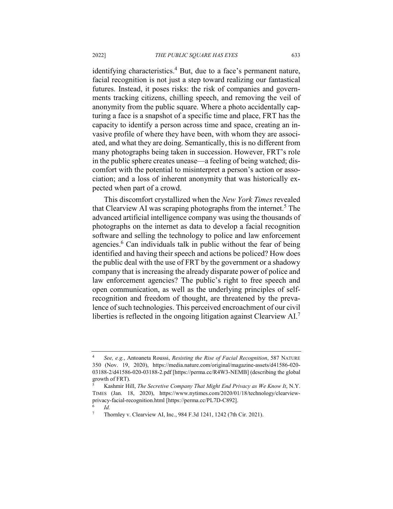identifying characteristics.<sup>4</sup> But, due to a face's permanent nature, facial recognition is not just a step toward realizing our fantastical futures. Instead, it poses risks: the risk of companies and governments tracking citizens, chilling speech, and removing the veil of anonymity from the public square. Where a photo accidentally capturing a face is a snapshot of a specific time and place, FRT has the capacity to identify a person across time and space, creating an invasive profile of where they have been, with whom they are associated, and what they are doing. Semantically, this is no different from many photographs being taken in succession. However, FRT's role in the public sphere creates unease—a feeling of being watched; discomfort with the potential to misinterpret a person's action or association; and a loss of inherent anonymity that was historically expected when part of a crowd.

This discomfort crystallized when the *New York Times* revealed that Clearview AI was scraping photographs from the internet.<sup>5</sup> The advanced artificial intelligence company was using the thousands of photographs on the internet as data to develop a facial recognition software and selling the technology to police and law enforcement agencies.<sup>6</sup> Can individuals talk in public without the fear of being identified and having their speech and actions be policed? How does the public deal with the use of FRT by the government or a shadowy company that is increasing the already disparate power of police and law enforcement agencies? The public's right to free speech and open communication, as well as the underlying principles of selfrecognition and freedom of thought, are threatened by the prevalence of such technologies. This perceived encroachment of our civil liberties is reflected in the ongoing litigation against Clearview AI.7

<sup>4</sup> *See, e.g.*, Antoaneta Roussi, *Resisting the Rise of Facial Recognition*, 587 NATURE 350 (Nov. 19, 2020), https://media.nature.com/original/magazine-assets/d41586-020- 03188-2/d41586-020-03188-2.pdf [https://perma.cc/R4W3-NEMB] (describing the global growth of FRT).

<sup>5</sup> Kashmir Hill, *The Secretive Company That Might End Privacy as We Know It*, N.Y. TIMES (Jan. 18, 2020), https://www.nytimes.com/2020/01/18/technology/clearviewprivacy-facial-recognition.html [https://perma.cc/PL7D-C892].

 $\frac{6}{7}$  *Id.* 

<sup>7</sup> Thornley v. Clearview AI, Inc., 984 F.3d 1241, 1242 (7th Cir. 2021).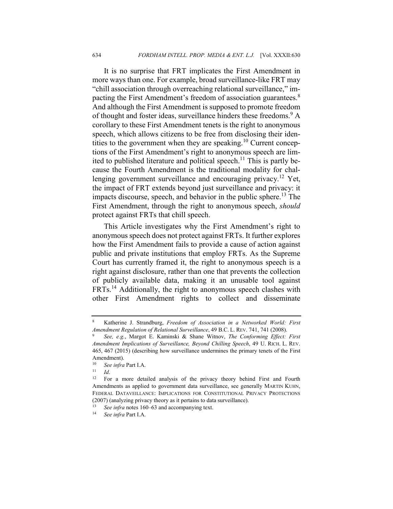It is no surprise that FRT implicates the First Amendment in more ways than one. For example, broad surveillance-like FRT may "chill association through overreaching relational surveillance," impacting the First Amendment's freedom of association guarantees.<sup>8</sup> And although the First Amendment is supposed to promote freedom of thought and foster ideas, surveillance hinders these freedoms.<sup>9</sup> A corollary to these First Amendment tenets is the right to anonymous speech, which allows citizens to be free from disclosing their identities to the government when they are speaking.<sup>10</sup> Current conceptions of the First Amendment's right to anonymous speech are limited to published literature and political speech.<sup>11</sup> This is partly because the Fourth Amendment is the traditional modality for challenging government surveillance and encouraging privacy.<sup>12</sup> Yet, the impact of FRT extends beyond just surveillance and privacy: it impacts discourse, speech, and behavior in the public sphere.<sup>13</sup> The First Amendment, through the right to anonymous speech, *should* protect against FRTs that chill speech.

This Article investigates why the First Amendment's right to anonymous speech does not protect against FRTs. It further explores how the First Amendment fails to provide a cause of action against public and private institutions that employ FRTs. As the Supreme Court has currently framed it, the right to anonymous speech is a right against disclosure, rather than one that prevents the collection of publicly available data, making it an unusable tool against FRTs.14 Additionally, the right to anonymous speech clashes with other First Amendment rights to collect and disseminate

<sup>8</sup> Katherine J. Strandburg, *Freedom of Association in a Networked World: First Amendment Regulation of Relational Surveillance*, 49 B.C. L. REV. 741, 741 (2008).

<sup>9</sup> *See, e.g.*, Margot E. Kaminski & Shane Witnov, *The Conforming Effect: First Amendment Implications of Surveillance, Beyond Chilling Speech*, 49 U. RICH. L. REV. 465, 467 (2015) (describing how surveillance undermines the primary tenets of the First Amendment).<br> $\frac{10}{2}$  See infra

<sup>&</sup>lt;sup>10</sup> *See infra* Part I.A.<br><sup>11</sup> *Id*</sub>

<sup>11</sup> *Id*.

<sup>&</sup>lt;sup>12</sup> For a more detailed analysis of the privacy theory behind First and Fourth Amendments as applied to government data surveillance, see generally MARTIN KUHN, FEDERAL DATAVEILLANCE: IMPLICATIONS FOR CONSTITUTIONAL PRIVACY PROTECTIONS (2007) (analyzing privacy theory as it pertains to data surveillance).

See *infra* notes 160–63 and accompanying text.

<sup>14</sup> *See infra* Part I.A.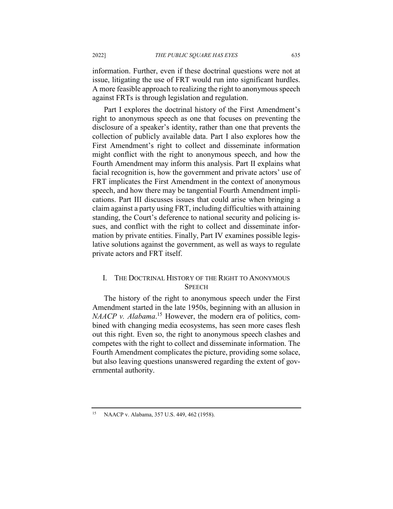information. Further, even if these doctrinal questions were not at issue, litigating the use of FRT would run into significant hurdles. A more feasible approach to realizing the right to anonymous speech against FRTs is through legislation and regulation.

Part I explores the doctrinal history of the First Amendment's right to anonymous speech as one that focuses on preventing the disclosure of a speaker's identity, rather than one that prevents the collection of publicly available data. Part I also explores how the First Amendment's right to collect and disseminate information might conflict with the right to anonymous speech, and how the Fourth Amendment may inform this analysis. Part II explains what facial recognition is, how the government and private actors' use of FRT implicates the First Amendment in the context of anonymous speech, and how there may be tangential Fourth Amendment implications. Part III discusses issues that could arise when bringing a claim against a party using FRT, including difficulties with attaining standing, the Court's deference to national security and policing issues, and conflict with the right to collect and disseminate information by private entities. Finally, Part IV examines possible legislative solutions against the government, as well as ways to regulate private actors and FRT itself.

## I. THE DOCTRINAL HISTORY OF THE RIGHT TO ANONYMOUS **SPEECH**

The history of the right to anonymous speech under the First Amendment started in the late 1950s, beginning with an allusion in *NAACP v. Alabama*. <sup>15</sup> However, the modern era of politics, combined with changing media ecosystems, has seen more cases flesh out this right. Even so, the right to anonymous speech clashes and competes with the right to collect and disseminate information. The Fourth Amendment complicates the picture, providing some solace, but also leaving questions unanswered regarding the extent of governmental authority.

<sup>15</sup> NAACP v. Alabama, 357 U.S. 449, 462 (1958).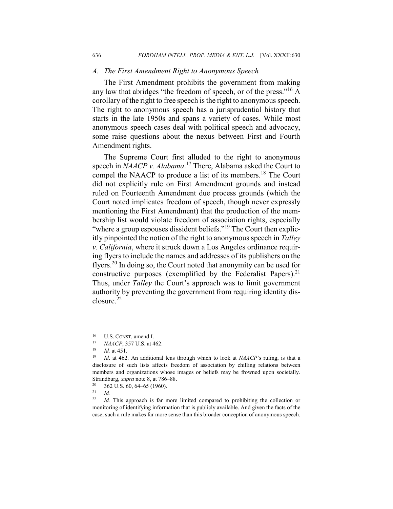#### *A. The First Amendment Right to Anonymous Speech*

The First Amendment prohibits the government from making any law that abridges "the freedom of speech, or of the press."<sup>16</sup> A corollary of the right to free speech is the right to anonymous speech. The right to anonymous speech has a jurisprudential history that starts in the late 1950s and spans a variety of cases. While most anonymous speech cases deal with political speech and advocacy, some raise questions about the nexus between First and Fourth Amendment rights.

The Supreme Court first alluded to the right to anonymous speech in *NAACP v. Alabama*. <sup>17</sup> There, Alabama asked the Court to compel the NAACP to produce a list of its members.<sup>18</sup> The Court did not explicitly rule on First Amendment grounds and instead ruled on Fourteenth Amendment due process grounds (which the Court noted implicates freedom of speech, though never expressly mentioning the First Amendment) that the production of the membership list would violate freedom of association rights, especially "where a group espouses dissident beliefs."<sup>19</sup> The Court then explicitly pinpointed the notion of the right to anonymous speech in *Talley v. California*, where it struck down a Los Angeles ordinance requiring flyers to include the names and addresses of its publishers on the flyers.<sup>20</sup> In doing so, the Court noted that anonymity can be used for constructive purposes (exemplified by the Federalist Papers).<sup>21</sup> Thus, under *Talley* the Court's approach was to limit government authority by preventing the government from requiring identity disclosure.<sup>22</sup>

<sup>&</sup>lt;sup>16</sup> U.S. CONST. amend I.<br><sup>17</sup> MAACP 357 U.S. at  $\angle$ 

<sup>&</sup>lt;sup>17</sup> *NAACP*, 357 U.S. at 462.

*Id.* at 451.

<sup>19</sup> *Id*. at 462. An additional lens through which to look at *NAACP*'s ruling, is that a disclosure of such lists affects freedom of association by chilling relations between members and organizations whose images or beliefs may be frowned upon societally. Strandburg, *supra* note 8, at 786–88.<br><sup>20</sup> 362 U.S. 60, 64, 65 (1960)

 $\frac{20}{21}$  362 U.S. 60, 64–65 (1960).

 $\frac{21}{22}$  *Id.* 

Id. This approach is far more limited compared to prohibiting the collection or monitoring of identifying information that is publicly available. And given the facts of the case, such a rule makes far more sense than this broader conception of anonymous speech.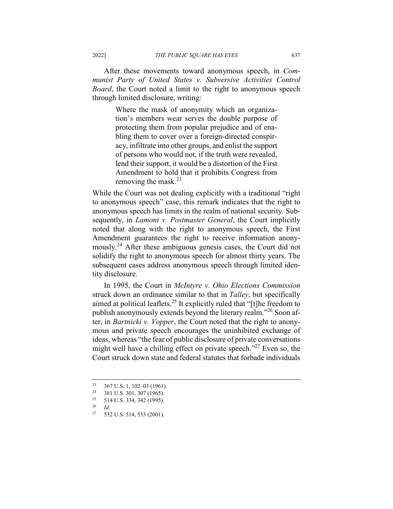After these movements toward anonymous speech, in *Communist Party of United States v. Subversive Activities Control Board*, the Court noted a limit to the right to anonymous speech through limited disclosure, writing:

> Where the mask of anonymity which an organization's members wear serves the double purpose of protecting them from popular prejudice and of enabling them to cover over a foreign-directed conspiracy, infiltrate into other groups, and enlist the support of persons who would not, if the truth were revealed, lend their support, it would be a distortion of the First Amendment to hold that it prohibits Congress from removing the mask. $^{23}$

While the Court was not dealing explicitly with a traditional "right to anonymous speech" case, this remark indicates that the right to anonymous speech has limits in the realm of national security. Subsequently, in *Lamont v. Postmaster General*, the Court implicitly noted that along with the right to anonymous speech, the First Amendment guarantees the right to receive information anonymously.<sup>24</sup> After these ambiguous genesis cases, the Court did not solidify the right to anonymous speech for almost thirty years. The subsequent cases address anonymous speech through limited identity disclosure.

In 1995, the Court in *McIntyre v. Ohio Elections Commission* struck down an ordinance similar to that in *Talley*, but specifically aimed at political leaflets.25 It explicitly ruled that "[t]he freedom to publish anonymously extends beyond the literary realm."<sup>26</sup> Soon after, in *Bartnicki v. Vopper*, the Court noted that the right to anonymous and private speech encourages the uninhibited exchange of ideas, whereas "the fear of public disclosure of private conversations might well have a chilling effect on private speech."<sup>27</sup> Even so, the Court struck down state and federal statutes that forbade individuals

<sup>&</sup>lt;sup>23</sup> 367 U.S. 1, 102–03 (1961).<br><sup>24</sup> <sup>291 U.S. <sup>201</sup> <sup>207</sup> (1065)</sup>

<sup>&</sup>lt;sup>24</sup> 381 U.S. 301, 307 (1965).<br><sup>25</sup> 514 U.S. 334, 342 (1995).

 $\frac{25}{26}$  514 U.S. 334, 342 (1995).

<sup>26</sup> *Id*.

<sup>27</sup> 532 U.S. 514, 533 (2001).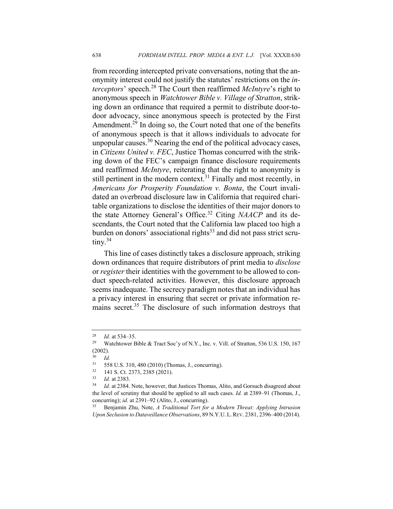from recording intercepted private conversations, noting that the anonymity interest could not justify the statutes' restrictions on the *interceptors*' speech.<sup>28</sup> The Court then reaffirmed *McIntyre*'s right to anonymous speech in *Watchtower Bible v. Village of Stratton*, striking down an ordinance that required a permit to distribute door-todoor advocacy, since anonymous speech is protected by the First Amendment.<sup>29</sup> In doing so, the Court noted that one of the benefits of anonymous speech is that it allows individuals to advocate for unpopular causes.30 Nearing the end of the political advocacy cases, in *Citizens United v. FEC*, Justice Thomas concurred with the striking down of the FEC's campaign finance disclosure requirements and reaffirmed *McIntyre*, reiterating that the right to anonymity is still pertinent in the modern context.<sup>31</sup> Finally and most recently, in *Americans for Prosperity Foundation v. Bonta*, the Court invalidated an overbroad disclosure law in California that required charitable organizations to disclose the identities of their major donors to the state Attorney General's Office.<sup>32</sup> Citing *NAACP* and its descendants, the Court noted that the California law placed too high a burden on donors' associational rights $33$  and did not pass strict scru $tiny.<sup>34</sup>$ 

This line of cases distinctly takes a disclosure approach, striking down ordinances that require distributors of print media to *disclose* or *register* their identities with the government to be allowed to conduct speech-related activities. However, this disclosure approach seems inadequate. The secrecy paradigm notes that an individual has a privacy interest in ensuring that secret or private information remains secret.<sup>35</sup> The disclosure of such information destroys that

<sup>&</sup>lt;sup>28</sup> *Id.* at 534–35.<br><sup>29</sup> Watchtower F

Watchtower Bible & Tract Soc'y of N.Y., Inc. v. Vill. of Stratton, 536 U.S. 150, 167 (2002).

 $\frac{30}{31}$  *Id.* 

<sup>31</sup> 558 U.S. 310, 480 (2010) (Thomas, J., concurring).

<sup>32</sup> 141 S. Ct. 2373, 2385 (2021).

<sup>33</sup> *Id.* at 2383.

Id. at 2384. Note, however, that Justices Thomas, Alito, and Gorsuch disagreed about the level of scrutiny that should be applied to all such cases. *Id.* at 2389–91 (Thomas, J., concurring); *id.* at 2391–92 (Alito, J., concurring).

<sup>35</sup> Benjamin Zhu, Note, *A Traditional Tort for a Modern Threat: Applying Intrusion Upon Seclusion to Dataveillance Observations*, 89 N.Y.U. L.REV. 2381, 2396–400 (2014).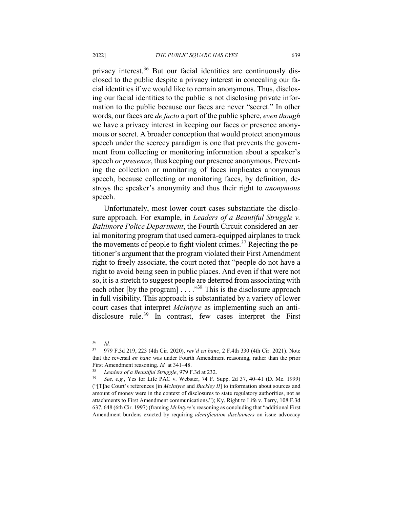privacy interest.<sup>36</sup> But our facial identities are continuously disclosed to the public despite a privacy interest in concealing our facial identities if we would like to remain anonymous. Thus, disclosing our facial identities to the public is not disclosing private information to the public because our faces are never "secret." In other words, our faces are *de facto* a part of the public sphere, *even though*  we have a privacy interest in keeping our faces or presence anonymous or secret. A broader conception that would protect anonymous speech under the secrecy paradigm is one that prevents the government from collecting or monitoring information about a speaker's speech *or presence*, thus keeping our presence anonymous. Preventing the collection or monitoring of faces implicates anonymous speech, because collecting or monitoring faces, by definition, destroys the speaker's anonymity and thus their right to *anonymous*  speech.

Unfortunately, most lower court cases substantiate the disclosure approach. For example, in *Leaders of a Beautiful Struggle v. Baltimore Police Department*, the Fourth Circuit considered an aerial monitoring program that used camera-equipped airplanes to track the movements of people to fight violent crimes.<sup>37</sup> Rejecting the petitioner's argument that the program violated their First Amendment right to freely associate, the court noted that "people do not have a right to avoid being seen in public places. And even if that were not so, it is a stretch to suggest people are deterred from associating with each other [by the program] . . . . "<sup>38</sup> This is the disclosure approach in full visibility. This approach is substantiated by a variety of lower court cases that interpret *McIntyre* as implementing such an antidisclosure rule.<sup>39</sup> In contrast, few cases interpret the First

 $rac{36}{37}$  *Id.* 

<sup>37</sup> 979 F.3d 219, 223 (4th Cir. 2020), *rev'd en banc*, 2 F.4th 330 (4th Cir. 2021). Note that the reversal *en banc* was under Fourth Amendment reasoning, rather than the prior First Amendment reasoning. *Id.* at 341–48.

<sup>38</sup> *Leaders of a Beautiful Struggle*, 979 F.3d at 232.

<sup>39</sup> *See, e.g.*, Yes for Life PAC v. Webster, 74 F. Supp. 2d 37, 40–41 (D. Me. 1999) ("[T]he Court's references [in *McIntyre* and *Buckley II*] to information about sources and amount of money were in the context of disclosures to state regulatory authorities, not as attachments to First Amendment communications."); Ky. Right to Life v. Terry, 108 F.3d 637, 648 (6th Cir. 1997) (framing *McIntyre*'s reasoning as concluding that "additional First Amendment burdens exacted by requiring *identification disclaimers* on issue advocacy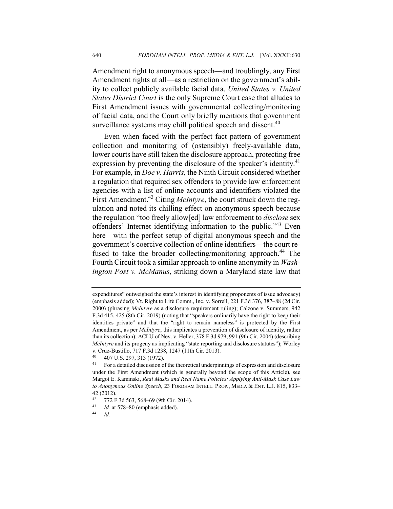Amendment right to anonymous speech—and troublingly, any First Amendment rights at all—as a restriction on the government's ability to collect publicly available facial data. *United States v. United States District Court* is the only Supreme Court case that alludes to First Amendment issues with governmental collecting/monitoring of facial data, and the Court only briefly mentions that government surveillance systems may chill political speech and dissent.<sup>40</sup>

Even when faced with the perfect fact pattern of government collection and monitoring of (ostensibly) freely-available data, lower courts have still taken the disclosure approach, protecting free expression by preventing the disclosure of the speaker's identity.<sup>41</sup> For example, in *Doe v. Harris*, the Ninth Circuit considered whether a regulation that required sex offenders to provide law enforcement agencies with a list of online accounts and identifiers violated the First Amendment.<sup>42</sup> Citing *McIntyre*, the court struck down the regulation and noted its chilling effect on anonymous speech because the regulation "too freely allow[ed] law enforcement to *disclose* sex offenders' Internet identifying information to the public."<sup>43</sup> Even here—with the perfect setup of digital anonymous speech and the government's coercive collection of online identifiers—the court refused to take the broader collecting/monitoring approach.<sup>44</sup> The Fourth Circuit took a similar approach to online anonymity in *Washington Post v. McManus*, striking down a Maryland state law that

expenditures" outweighed the state's interest in identifying proponents of issue advocacy) (emphasis added); Vt. Right to Life Comm., Inc. v. Sorrell, 221 F.3d 376, 387–88 (2d Cir. 2000) (phrasing *McIntyre* as a disclosure requirement ruling); Calzone v. Summers, 942 F.3d 415, 425 (8th Cir. 2019) (noting that "speakers ordinarily have the right to keep their identities private" and that the "right to remain nameless" is protected by the First Amendment, as per *McIntyre*; this implicates a prevention of disclosure of identity, rather than its collection); ACLU of Nev. v. Heller, 378 F.3d 979, 991 (9th Cir. 2004) (describing *McIntyre* and its progeny as implicating "state reporting and disclosure statutes"); Worley v. Cruz-Bustillo, 717 F.3d 1238, 1247 (11th Cir. 2013).

 $^{40}$  407 U.S. 297, 313 (1972).

<sup>41</sup> For a detailed discussion of the theoretical underpinnings of expression and disclosure under the First Amendment (which is generally beyond the scope of this Article), see Margot E. Kaminski, *Real Masks and Real Name Policies: Applying Anti-Mask Case Law to Anonymous Online Speech*, 23 FORDHAM INTELL. PROP., MEDIA & ENT. L.J. 815, 833–  $42$  (2012).<br> $42$  772 F

<sup>&</sup>lt;sup>42</sup> 772 F.3d 563, 568–69 (9th Cir. 2014).<br><sup>43</sup> *Id.* at 578, 80 (emphasis added).

<sup>&</sup>lt;sup>43</sup> *Id.* at 578–80 (emphasis added).

<sup>44</sup> *Id.*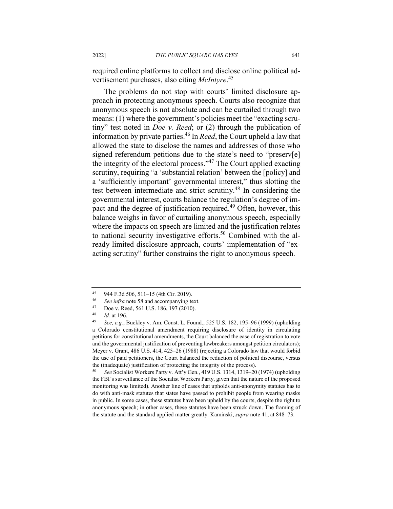required online platforms to collect and disclose online political advertisement purchases, also citing *McIntyre*. 45

The problems do not stop with courts' limited disclosure approach in protecting anonymous speech. Courts also recognize that anonymous speech is not absolute and can be curtailed through two means: (1) where the government's policies meet the "exacting scrutiny" test noted in *Doe v. Reed*; or (2) through the publication of information by private parties.46 In *Reed*, the Court upheld a law that allowed the state to disclose the names and addresses of those who signed referendum petitions due to the state's need to "preserv[e] the integrity of the electoral process." $47$  The Court applied exacting scrutiny, requiring "a 'substantial relation' between the [policy] and a 'sufficiently important' governmental interest," thus slotting the test between intermediate and strict scrutiny.<sup>48</sup> In considering the governmental interest, courts balance the regulation's degree of impact and the degree of justification required.<sup>49</sup> Often, however, this balance weighs in favor of curtailing anonymous speech, especially where the impacts on speech are limited and the justification relates to national security investigative efforts.<sup>50</sup> Combined with the already limited disclosure approach, courts' implementation of "exacting scrutiny" further constrains the right to anonymous speech.

<sup>50</sup> *See* Socialist Workers Party v. Att'y Gen., 419 U.S. 1314, 1319–20 (1974) (upholding the FBI's surveillance of the Socialist Workers Party, given that the nature of the proposed monitoring was limited). Another line of cases that upholds anti-anonymity statutes has to do with anti-mask statutes that states have passed to prohibit people from wearing masks in public. In some cases, these statutes have been upheld by the courts, despite the right to anonymous speech; in other cases, these statutes have been struck down. The framing of the statute and the standard applied matter greatly. Kaminski, *supra* note 41, at 848–73.

<sup>45 944</sup> F.3d 506, 511–15 (4th Cir. 2019).

<sup>&</sup>lt;sup>46</sup> *See infra* note 58 and accompanying text.<br><sup>47</sup> Dee v. Beed, 561 U.S. 186, 107 (2010)

<sup>&</sup>lt;sup>47</sup> Doe v. Reed, 561 U.S. 186, 197 (2010).

<sup>48</sup> *Id.* at 196.

<sup>49</sup> *See, e.g.*, Buckley v. Am. Const. L. Found., 525 U.S. 182, 195–96 (1999) (upholding a Colorado constitutional amendment requiring disclosure of identity in circulating petitions for constitutional amendments, the Court balanced the ease of registration to vote and the governmental justification of preventing lawbreakers amongst petition circulators); Meyer v. Grant, 486 U.S. 414, 425–26 (1988) (rejecting a Colorado law that would forbid the use of paid petitioners, the Court balanced the reduction of political discourse, versus the (inadequate) justification of protecting the integrity of the process).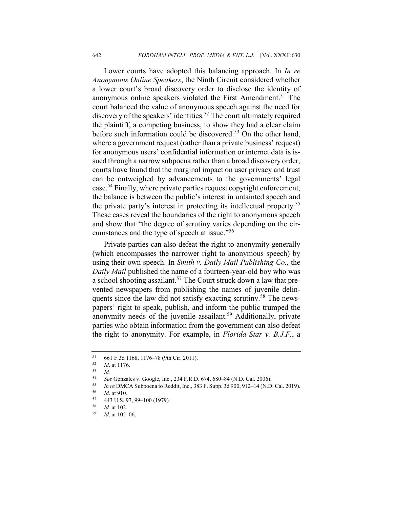Lower courts have adopted this balancing approach. In *In re Anonymous Online Speakers*, the Ninth Circuit considered whether a lower court's broad discovery order to disclose the identity of anonymous online speakers violated the First Amendment.<sup>51</sup> The court balanced the value of anonymous speech against the need for discovery of the speakers' identities.<sup>52</sup> The court ultimately required the plaintiff, a competing business, to show they had a clear claim before such information could be discovered.<sup>53</sup> On the other hand, where a government request (rather than a private business' request) for anonymous users' confidential information or internet data is issued through a narrow subpoena rather than a broad discovery order, courts have found that the marginal impact on user privacy and trust can be outweighed by advancements to the governments' legal case.<sup>54</sup> Finally, where private parties request copyright enforcement, the balance is between the public's interest in untainted speech and the private party's interest in protecting its intellectual property.55 These cases reveal the boundaries of the right to anonymous speech and show that "the degree of scrutiny varies depending on the circumstances and the type of speech at issue."<sup>56</sup>

Private parties can also defeat the right to anonymity generally (which encompasses the narrower right to anonymous speech) by using their own speech. In *Smith v. Daily Mail Publishing Co.*, the *Daily Mail* published the name of a fourteen-year-old boy who was a school shooting assailant.<sup>57</sup> The Court struck down a law that prevented newspapers from publishing the names of juvenile delinquents since the law did not satisfy exacting scrutiny.<sup>58</sup> The newspapers' right to speak, publish, and inform the public trumped the anonymity needs of the juvenile assailant.<sup>59</sup> Additionally, private parties who obtain information from the government can also defeat the right to anonymity. For example, in *Florida Star v. B.J.F.*, a

<sup>55</sup> *In re* DMCA Subpoena to Reddit, Inc., 383 F. Supp. 3d 900, 912–14 (N.D. Cal. 2019).

 $^{51}$  661 F.3d 1168, 1176–78 (9th Cir. 2011).<br>  $^{52}$  *Id at 1176* 

 $\frac{52}{53}$  *Id.* at 1176.

 $\frac{53}{54}$  *Id.* 

<sup>54</sup> *See* Gonzales v. Google, Inc., 234 F.R.D. 674, 680–84 (N.D. Cal. 2006).

<sup>56</sup> *Id*. at 910.

 $^{57}$  443 U.S. 97, 99-100 (1979).<br> $^{58}$  *L*d at 102

*Id.* at 102.

<sup>59</sup> *Id*. at 105–06.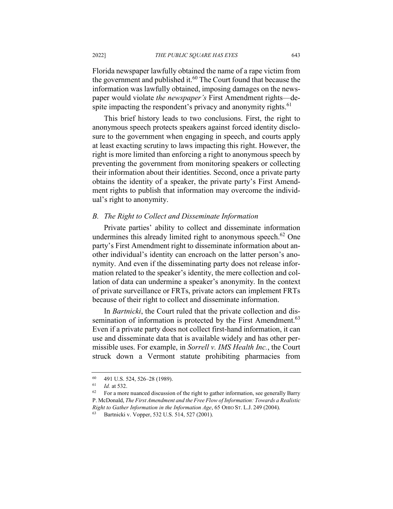Florida newspaper lawfully obtained the name of a rape victim from the government and published it.<sup>60</sup> The Court found that because the information was lawfully obtained, imposing damages on the newspaper would violate *the newspaper's* First Amendment rights—despite impacting the respondent's privacy and anonymity rights.<sup>61</sup>

This brief history leads to two conclusions. First, the right to anonymous speech protects speakers against forced identity disclosure to the government when engaging in speech, and courts apply at least exacting scrutiny to laws impacting this right. However, the right is more limited than enforcing a right to anonymous speech by preventing the government from monitoring speakers or collecting their information about their identities. Second, once a private party obtains the identity of a speaker, the private party's First Amendment rights to publish that information may overcome the individual's right to anonymity.

#### *B. The Right to Collect and Disseminate Information*

Private parties' ability to collect and disseminate information undermines this already limited right to anonymous speech.<sup>62</sup> One party's First Amendment right to disseminate information about another individual's identity can encroach on the latter person's anonymity. And even if the disseminating party does not release information related to the speaker's identity, the mere collection and collation of data can undermine a speaker's anonymity. In the context of private surveillance or FRTs, private actors can implement FRTs because of their right to collect and disseminate information.

In *Bartnicki*, the Court ruled that the private collection and dissemination of information is protected by the First Amendment.<sup>63</sup> Even if a private party does not collect first-hand information, it can use and disseminate data that is available widely and has other permissible uses. For example, in *Sorrell v. IMS Health Inc.*, the Court struck down a Vermont statute prohibiting pharmacies from

 $^{60}$  491 U.S. 524, 526–28 (1989).<br> $^{61}$  *Id at* 532

*Id.* at 532.

 $62$  For a more nuanced discussion of the right to gather information, see generally Barry P. McDonald, *The First Amendment and the Free Flow of Information: Towards a Realistic Right to Gather Information in the Information Age*, 65 OHIO ST. L.J. 249 (2004).

Bartnicki v. Vopper, 532 U.S. 514, 527 (2001).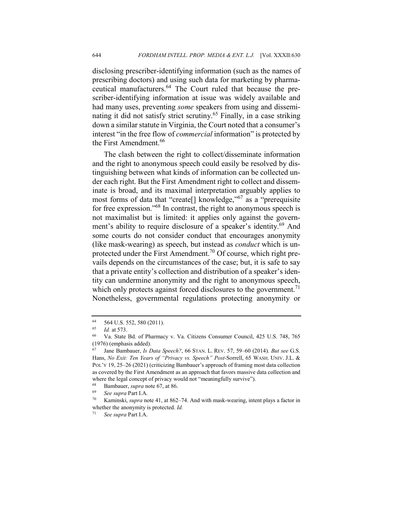disclosing prescriber-identifying information (such as the names of prescribing doctors) and using such data for marketing by pharmaceutical manufacturers.<sup>64</sup> The Court ruled that because the prescriber-identifying information at issue was widely available and had many uses, preventing *some* speakers from using and disseminating it did not satisfy strict scrutiny.<sup>65</sup> Finally, in a case striking down a similar statute in Virginia, the Court noted that a consumer's interest "in the free flow of *commercial* information" is protected by the First Amendment.<sup>66</sup>

The clash between the right to collect/disseminate information and the right to anonymous speech could easily be resolved by distinguishing between what kinds of information can be collected under each right. But the First Amendment right to collect and disseminate is broad, and its maximal interpretation arguably applies to most forms of data that "create[] knowledge,"<sup>67</sup> as a "prerequisite for free expression."68 In contrast, the right to anonymous speech is not maximalist but is limited: it applies only against the government's ability to require disclosure of a speaker's identity.<sup>69</sup> And some courts do not consider conduct that encourages anonymity (like mask-wearing) as speech, but instead as *conduct* which is unprotected under the First Amendment.<sup>70</sup> Of course, which right prevails depends on the circumstances of the case; but, it is safe to say that a private entity's collection and distribution of a speaker's identity can undermine anonymity and the right to anonymous speech, which only protects against forced disclosures to the government.<sup>71</sup> Nonetheless, governmental regulations protecting anonymity or

<sup>64</sup> 564 U.S. 552, 580 (2011).

<sup>65</sup> *Id.* at 573.

<sup>66</sup> Va. State Bd. of Pharmacy v. Va. Citizens Consumer Council, 425 U.S. 748, 765 (1976) (emphasis added).<br> $^{67}$  - Jane Bambauer *Is I* 

<sup>67</sup> Jane Bambauer, *Is Data Speech?*, 66 STAN. L. REV. 57, 59–60 (2014). *But see* G.S. Hans, *No Exit: Ten Years of "Privacy vs. Speech" Post-*Sorrell, 65 WASH. UNIV. J.L. & POL'Y 19, 25–26 (2021) (criticizing Bambauer's approach of framing most data collection as covered by the First Amendment as an approach that favors massive data collection and where the legal concept of privacy would not "meaningfully survive").

<sup>&</sup>lt;sup>68</sup> Bambauer, *supra* note 67, at 86.

<sup>69</sup> *See supra* Part I.A.

<sup>70</sup> Kaminski, *supra* note 41, at 862–74. And with mask-wearing, intent plays a factor in whether the anonymity is protected. *Id.*

<sup>71</sup> *See supra* Part I.A.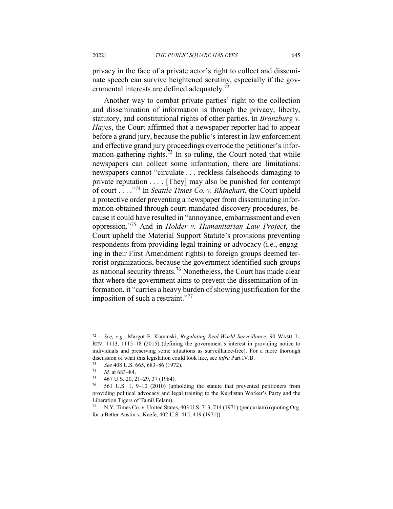privacy in the face of a private actor's right to collect and disseminate speech can survive heightened scrutiny, especially if the governmental interests are defined adequately.<sup>72</sup>

Another way to combat private parties' right to the collection and dissemination of information is through the privacy, liberty, statutory, and constitutional rights of other parties. In *Branzburg v. Hayes*, the Court affirmed that a newspaper reporter had to appear before a grand jury, because the public's interest in law enforcement and effective grand jury proceedings overrode the petitioner's information-gathering rights.<sup>73</sup> In so ruling, the Court noted that while newspapers can collect some information, there are limitations: newspapers cannot "circulate . . . reckless falsehoods damaging to private reputation . . . . [They] may also be punished for contempt of court . . . ."<sup>74</sup> In *Seattle Times Co. v. Rhinehart*, the Court upheld a protective order preventing a newspaper from disseminating information obtained through court-mandated discovery procedures, because it could have resulted in "annoyance, embarrassment and even oppression."<sup>75</sup> And in *Holder v. Humanitarian Law Project*, the Court upheld the Material Support Statute's provisions preventing respondents from providing legal training or advocacy (i.e., engaging in their First Amendment rights) to foreign groups deemed terrorist organizations, because the government identified such groups as national security threats.76 Nonetheless, the Court has made clear that where the government aims to prevent the dissemination of information, it "carries a heavy burden of showing justification for the imposition of such a restraint."<sup>77</sup>

<sup>72</sup> *See, e.g.*, Margot E. Kaminski, *Regulating Real-World Surveillance*, 90 WASH. L. REV. 1113, 1115–18 (2015) (defining the government's interest in providing notice to individuals and preserving some situations as surveillance-free). For a more thorough discussion of what this legislation could look like, see *infra* Part IV.B.

<sup>73</sup> *See* 408 U.S. 665, 683–86 (1972).

 $\frac{74}{75}$  *Id.* at 683–84.

 $^{75}$  467 U.S. 20, 21–29, 37 (1984).<br> $^{76}$  561 U.S. 1, 9, 10 (2010) (up)

<sup>76</sup> 561 U.S. 1, 9–10 (2010) (upholding the statute that prevented petitioners from providing political advocacy and legal training to the Kurdistan Worker's Party and the Liberation Tigers of Tamil Eelam).<br>  $77 \quad N \, V$  Times Co v. United State

N.Y. Times Co. v. United States, 403 U.S. 713, 714 (1971) (per curiam) (quoting Org. for a Better Austin v. Keefe, 402 U.S. 415, 419 (1971)).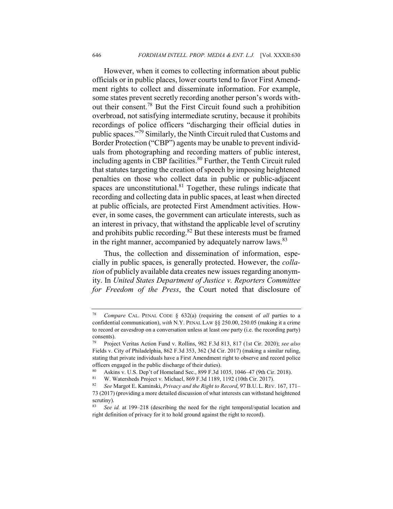However, when it comes to collecting information about public officials or in public places, lower courts tend to favor First Amendment rights to collect and disseminate information. For example, some states prevent secretly recording another person's words without their consent.78 But the First Circuit found such a prohibition overbroad, not satisfying intermediate scrutiny, because it prohibits recordings of police officers "discharging their official duties in public spaces."<sup>79</sup> Similarly, the Ninth Circuit ruled that Customs and Border Protection ("CBP") agents may be unable to prevent individuals from photographing and recording matters of public interest, including agents in CBP facilities. $80$  Further, the Tenth Circuit ruled that statutes targeting the creation of speech by imposing heightened penalties on those who collect data in public or public-adjacent spaces are unconstitutional.<sup>81</sup> Together, these rulings indicate that recording and collecting data in public spaces, at least when directed at public officials, are protected First Amendment activities. However, in some cases, the government can articulate interests, such as an interest in privacy, that withstand the applicable level of scrutiny and prohibits public recording.<sup>82</sup> But these interests must be framed in the right manner, accompanied by adequately narrow laws. $83$ 

Thus, the collection and dissemination of information, especially in public spaces, is generally protected. However, the *collation* of publicly available data creates new issues regarding anonymity. In *United States Department of Justice v. Reporters Committee for Freedom of the Press*, the Court noted that disclosure of

<sup>78</sup> *Compare* CAL. PENAL CODE § 632(a) (requiring the consent of *all* parties to a confidential communication), *with* N.Y. PENAL LAW §§ 250.00, 250.05 (making it a crime to record or eavesdrop on a conversation unless at least *one* party (i.e. the recording party) consents).<br> $^{79}$  Proje

<sup>79</sup> Project Veritas Action Fund v. Rollins, 982 F.3d 813, 817 (1st Cir. 2020); *see also*  Fields v. City of Philadelphia, 862 F.3d 353, 362 (3d Cir. 2017) (making a similar ruling, stating that private individuals have a First Amendment right to observe and record police officers engaged in the public discharge of their duties).

<sup>80</sup> Askins v. U.S. Dep't of Homeland Sec., 899 F.3d 1035, 1046–47 (9th Cir. 2018).

<sup>&</sup>lt;sup>81</sup> W. Watersheds Project v. Michael, 869 F.3d 1189, 1192 (10th Cir. 2017).<br><sup>82</sup> See Margot F. Kaminski, *Privacy and the Right to Record* 97 B J J. Rev.

<sup>82</sup> *See* Margot E. Kaminski, *Privacy and the Right to Record*, 97 B.U. L. REV. 167, 171– 73 (2017) (providing a more detailed discussion of what interests can withstand heightened scrutiny).

<sup>83</sup> *See id.* at 199–218 (describing the need for the right temporal/spatial location and right definition of privacy for it to hold ground against the right to record).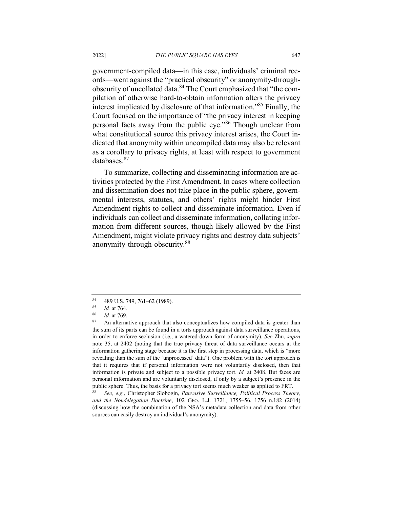government-compiled data—in this case, individuals' criminal records—went against the "practical obscurity" or anonymity-throughobscurity of uncollated data.<sup>84</sup> The Court emphasized that "the compilation of otherwise hard-to-obtain information alters the privacy interest implicated by disclosure of that information."85 Finally, the Court focused on the importance of "the privacy interest in keeping personal facts away from the public eye."<sup>86</sup> Though unclear from what constitutional source this privacy interest arises, the Court indicated that anonymity within uncompiled data may also be relevant as a corollary to privacy rights, at least with respect to government databases. 87

To summarize, collecting and disseminating information are activities protected by the First Amendment. In cases where collection and dissemination does not take place in the public sphere, governmental interests, statutes, and others' rights might hinder First Amendment rights to collect and disseminate information. Even if individuals can collect and disseminate information, collating information from different sources, though likely allowed by the First Amendment, might violate privacy rights and destroy data subjects' anonymity-through-obscurity.<sup>88</sup>

 $84 \t 489 \t U.S. 749, 761-62 \t (1989).$ 

 $\frac{85}{86}$  *Id.* at 764.

<sup>86</sup> *Id.* at 769.

An alternative approach that also conceptualizes how compiled data is greater than the sum of its parts can be found in a torts approach against data surveillance operations, in order to enforce seclusion (i.e., a watered-down form of anonymity). *See* Zhu, *supra*  note 35, at 2402 (noting that the true privacy threat of data surveillance occurs at the information gathering stage because it is the first step in processing data, which is "more revealing than the sum of the 'unprocessed' data"). One problem with the tort approach is that it requires that if personal information were not voluntarily disclosed, then that information is private and subject to a possible privacy tort. *Id.* at 2408. But faces are personal information and are voluntarily disclosed, if only by a subject's presence in the public sphere. Thus, the basis for a privacy tort seems much weaker as applied to FRT.

<sup>88</sup> *See, e.g.*, Christopher Slobogin, *Panvasive Surveillance, Political Process Theory, and the Nondelegation Doctrine*, 102 GEO. L.J. 1721, 1755–56, 1756 n.182 (2014) (discussing how the combination of the NSA's metadata collection and data from other sources can easily destroy an individual's anonymity).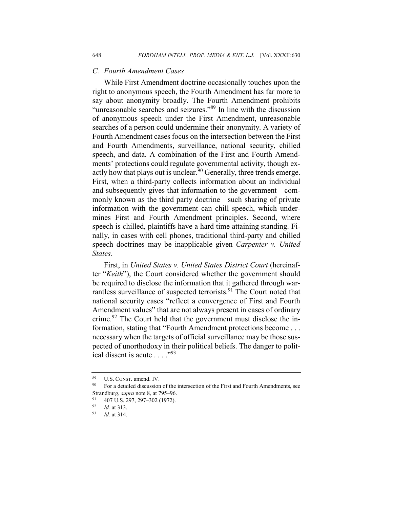#### *C. Fourth Amendment Cases*

While First Amendment doctrine occasionally touches upon the right to anonymous speech, the Fourth Amendment has far more to say about anonymity broadly. The Fourth Amendment prohibits "unreasonable searches and seizures."<sup>89</sup> In line with the discussion of anonymous speech under the First Amendment, unreasonable searches of a person could undermine their anonymity. A variety of Fourth Amendment cases focus on the intersection between the First and Fourth Amendments, surveillance, national security, chilled speech, and data. A combination of the First and Fourth Amendments' protections could regulate governmental activity, though exactly how that plays out is unclear.<sup>90</sup> Generally, three trends emerge. First, when a third-party collects information about an individual and subsequently gives that information to the government—commonly known as the third party doctrine—such sharing of private information with the government can chill speech, which undermines First and Fourth Amendment principles. Second, where speech is chilled, plaintiffs have a hard time attaining standing. Finally, in cases with cell phones, traditional third-party and chilled speech doctrines may be inapplicable given *Carpenter v. United States*.

First, in *United States v. United States District Court* (hereinafter "*Keith*"), the Court considered whether the government should be required to disclose the information that it gathered through warrantless surveillance of suspected terrorists.<sup>91</sup> The Court noted that national security cases "reflect a convergence of First and Fourth Amendment values" that are not always present in cases of ordinary crime.<sup>92</sup> The Court held that the government must disclose the information, stating that "Fourth Amendment protections become . . . necessary when the targets of official surveillance may be those suspected of unorthodoxy in their political beliefs. The danger to political dissent is acute  $\ldots$ ."<sup>93</sup>

 $\frac{89}{90}$  U.S. CONST. amend. IV.

<sup>90</sup> For a detailed discussion of the intersection of the First and Fourth Amendments, see Strandburg, *supra* note 8, at 795–96.

<sup>91 407</sup> U.S. 297, 297-302 (1972).

<sup>92</sup> *Id.* at 313.

<sup>93</sup> *Id.* at 314.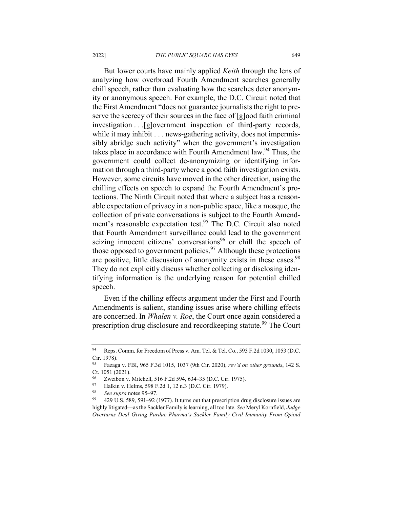But lower courts have mainly applied *Keith* through the lens of analyzing how overbroad Fourth Amendment searches generally chill speech, rather than evaluating how the searches deter anonymity or anonymous speech. For example, the D.C. Circuit noted that the First Amendment "does not guarantee journalists the right to preserve the secrecy of their sources in the face of [g]ood faith criminal investigation . . .[g]overnment inspection of third-party records, while it may inhibit . . . news-gathering activity, does not impermissibly abridge such activity" when the government's investigation takes place in accordance with Fourth Amendment law.<sup>94</sup> Thus, the government could collect de-anonymizing or identifying information through a third-party where a good faith investigation exists. However, some circuits have moved in the other direction, using the chilling effects on speech to expand the Fourth Amendment's protections. The Ninth Circuit noted that where a subject has a reasonable expectation of privacy in a non-public space, like a mosque, the collection of private conversations is subject to the Fourth Amendment's reasonable expectation test.<sup>95</sup> The D.C. Circuit also noted that Fourth Amendment surveillance could lead to the government seizing innocent citizens' conversations<sup>96</sup> or chill the speech of those opposed to government policies. $97$  Although these protections are positive, little discussion of anonymity exists in these cases.<sup>98</sup> They do not explicitly discuss whether collecting or disclosing identifying information is the underlying reason for potential chilled speech.

Even if the chilling effects argument under the First and Fourth Amendments is salient, standing issues arise where chilling effects are concerned. In *Whalen v. Roe*, the Court once again considered a prescription drug disclosure and recordkeeping statute.<sup>99</sup> The Court

<sup>94</sup> Reps. Comm. for Freedom of Press v. Am. Tel. & Tel. Co., 593 F.2d 1030, 1053 (D.C. Cir. 1978).

<sup>95</sup> Fazaga v. FBI, 965 F.3d 1015, 1037 (9th Cir. 2020), *rev'd on other grounds*, 142 S. Ct. 1051 (2021).

<sup>&</sup>lt;sup>96</sup> Zweibon v. Mitchell, 516 F.2d 594, 634–35 (D.C. Cir. 1975).<br><sup>97</sup> Halkin v. Helms, 598 F.2d 1, 12 n.3 (D.C. Cir. 1979).

<sup>97</sup> Halkin v. Helms, 598 F.2d 1, 12 n.3 (D.C. Cir. 1979).<br>
See sunge potes 05, 07

<sup>&</sup>lt;sup>98</sup> *See supra* notes 95–97.<br><sup>99</sup> *A*20 US 580 501 02 0

<sup>99</sup> 429 U.S. 589, 591–92 (1977). It turns out that prescription drug disclosure issues are highly litigated—as the Sackler Family is learning, all too late. *See* Meryl Kornfield, *Judge Overturns Deal Giving Purdue Pharma's Sackler Family Civil Immunity From Opioid*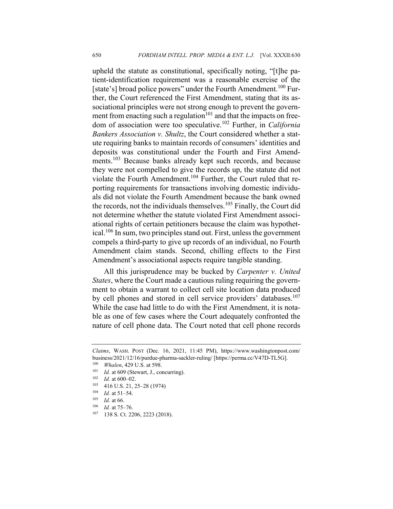upheld the statute as constitutional, specifically noting, "[t]he patient-identification requirement was a reasonable exercise of the [state's] broad police powers" under the Fourth Amendment.<sup>100</sup> Further, the Court referenced the First Amendment, stating that its associational principles were not strong enough to prevent the government from enacting such a regulation<sup>101</sup> and that the impacts on freedom of association were too speculative.<sup>102</sup> Further, in *California Bankers Association v. Shultz*, the Court considered whether a statute requiring banks to maintain records of consumers' identities and deposits was constitutional under the Fourth and First Amendments.<sup>103</sup> Because banks already kept such records, and because they were not compelled to give the records up, the statute did not violate the Fourth Amendment.<sup>104</sup> Further, the Court ruled that reporting requirements for transactions involving domestic individuals did not violate the Fourth Amendment because the bank owned the records, not the individuals themselves.<sup>105</sup> Finally, the Court did not determine whether the statute violated First Amendment associational rights of certain petitioners because the claim was hypothetical.<sup>106</sup> In sum, two principles stand out. First, unless the government compels a third-party to give up records of an individual, no Fourth Amendment claim stands. Second, chilling effects to the First Amendment's associational aspects require tangible standing.

All this jurisprudence may be bucked by *Carpenter v. United States*, where the Court made a cautious ruling requiring the government to obtain a warrant to collect cell site location data produced by cell phones and stored in cell service providers' databases.<sup>107</sup> While the case had little to do with the First Amendment, it is notable as one of few cases where the Court adequately confronted the nature of cell phone data. The Court noted that cell phone records

*Claims*, WASH. POST (Dec. 16, 2021, 11:45 PM), https://www.washingtonpost.com/ business/2021/12/16/purdue-pharma-sackler-ruling/ [https://perma.cc/V47D-TL5G].

<sup>100</sup> *Whalen*, 429 U.S. at 598.

<sup>&</sup>lt;sup>101</sup> *Id.* at 609 (Stewart, J., concurring).

 $\frac{102}{103}$  *Id.* at 600–02.

 $^{103}$  416 U.S. 21, 25–28 (1974)<br> $^{104}$  *Level* 51, 54

 $\frac{104}{105}$  *Id.* at 51–54.

 $\frac{105}{106}$  *Id.* at 66.

*Id.* at 75-76.

<sup>107</sup> 138 S. Ct. 2206, 2223 (2018).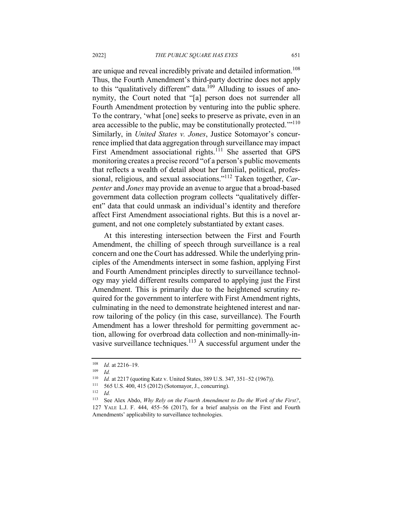are unique and reveal incredibly private and detailed information.<sup>108</sup> Thus, the Fourth Amendment's third-party doctrine does not apply to this "qualitatively different" data.<sup>109</sup> Alluding to issues of anonymity, the Court noted that "[a] person does not surrender all Fourth Amendment protection by venturing into the public sphere. To the contrary, 'what [one] seeks to preserve as private, even in an area accessible to the public, may be constitutionally protected."<sup>110</sup> Similarly, in *United States v. Jones*, Justice Sotomayor's concurrence implied that data aggregation through surveillance may impact First Amendment associational rights.<sup>111</sup> She asserted that GPS monitoring creates a precise record "of a person's public movements that reflects a wealth of detail about her familial, political, professional, religious, and sexual associations."<sup>112</sup> Taken together, *Carpenter* and *Jones* may provide an avenue to argue that a broad-based government data collection program collects "qualitatively different" data that could unmask an individual's identity and therefore affect First Amendment associational rights. But this is a novel argument, and not one completely substantiated by extant cases.

At this interesting intersection between the First and Fourth Amendment, the chilling of speech through surveillance is a real concern and one the Court has addressed. While the underlying principles of the Amendments intersect in some fashion, applying First and Fourth Amendment principles directly to surveillance technology may yield different results compared to applying just the First Amendment. This is primarily due to the heightened scrutiny required for the government to interfere with First Amendment rights, culminating in the need to demonstrate heightened interest and narrow tailoring of the policy (in this case, surveillance). The Fourth Amendment has a lower threshold for permitting government action, allowing for overbroad data collection and non-minimally-invasive surveillance techniques.<sup>113</sup> A successful argument under the

<sup>108</sup> *Id.* at 2216–19.

<sup>109</sup> *Id.*

<sup>110</sup> *Id.* at 2217 (quoting Katz v. United States, 389 U.S. 347, 351–52 (1967)).<br><sup>111</sup> 565 U.S. 400 415 (2012) (Sotomayor L. concurring)

<sup>&</sup>lt;sup>111</sup> 565 U.S. 400, 415 (2012) (Sotomayor, J., concurring).<br><sup>112</sup> Id

<sup>112</sup> *Id.*

<sup>113</sup> See Alex Abdo, *Why Rely on the Fourth Amendment to Do the Work of the First?*, 127 YALE L.J. F. 444, 455–56 (2017), for a brief analysis on the First and Fourth Amendments' applicability to surveillance technologies.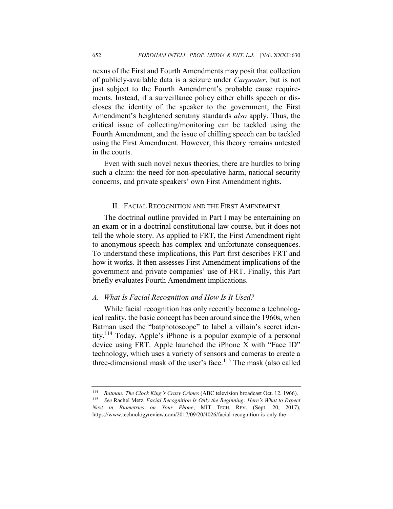nexus of the First and Fourth Amendments may posit that collection of publicly-available data is a seizure under *Carpenter*, but is not just subject to the Fourth Amendment's probable cause requirements. Instead, if a surveillance policy either chills speech or discloses the identity of the speaker to the government, the First Amendment's heightened scrutiny standards *also* apply. Thus, the critical issue of collecting/monitoring can be tackled using the Fourth Amendment, and the issue of chilling speech can be tackled using the First Amendment. However, this theory remains untested in the courts.

Even with such novel nexus theories, there are hurdles to bring such a claim: the need for non-speculative harm, national security concerns, and private speakers' own First Amendment rights.

#### II. FACIAL RECOGNITION AND THE FIRST AMENDMENT

The doctrinal outline provided in Part I may be entertaining on an exam or in a doctrinal constitutional law course, but it does not tell the whole story. As applied to FRT, the First Amendment right to anonymous speech has complex and unfortunate consequences. To understand these implications, this Part first describes FRT and how it works. It then assesses First Amendment implications of the government and private companies' use of FRT. Finally, this Part briefly evaluates Fourth Amendment implications.

#### *A. What Is Facial Recognition and How Is It Used?*

While facial recognition has only recently become a technological reality, the basic concept has been around since the 1960s, when Batman used the "batphotoscope" to label a villain's secret identity.<sup>114</sup> Today, Apple's iPhone is a popular example of a personal device using FRT. Apple launched the iPhone X with "Face ID" technology, which uses a variety of sensors and cameras to create a three-dimensional mask of the user's face.<sup>115</sup> The mask (also called

<sup>&</sup>lt;sup>114</sup> *Batman: The Clock King's Crazy Crimes* (ABC television broadcast Oct. 12, 1966).

<sup>115</sup> *See* Rachel Metz, *Facial Recognition Is Only the Beginning: Here's What to Expect Next in Biometrics on Your Phone*, MIT TECH. REV. (Sept. 20, 2017), https://www.technologyreview.com/2017/09/20/4026/facial-recognition-is-only-the-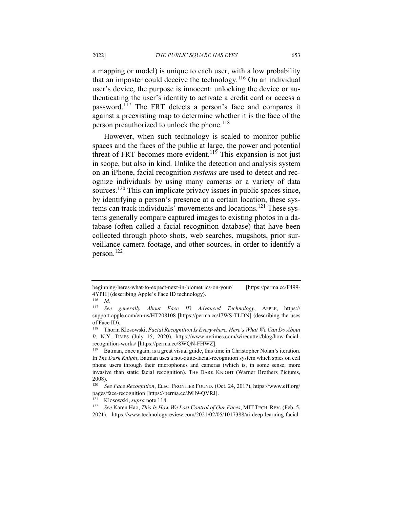a mapping or model) is unique to each user, with a low probability that an imposter could deceive the technology.<sup>116</sup> On an individual user's device, the purpose is innocent: unlocking the device or authenticating the user's identity to activate a credit card or access a password.<sup>117</sup> The FRT detects a person's face and compares it against a preexisting map to determine whether it is the face of the person preauthorized to unlock the phone.<sup>118</sup>

However, when such technology is scaled to monitor public spaces and the faces of the public at large, the power and potential threat of FRT becomes more evident.<sup>119</sup> This expansion is not just in scope, but also in kind. Unlike the detection and analysis system on an iPhone, facial recognition *systems* are used to detect and recognize individuals by using many cameras or a variety of data sources.<sup>120</sup> This can implicate privacy issues in public spaces since, by identifying a person's presence at a certain location, these systems can track individuals' movements and locations.<sup>121</sup> These systems generally compare captured images to existing photos in a database (often called a facial recognition database) that have been collected through photo shots, web searches, mugshots, prior surveillance camera footage, and other sources, in order to identify a person.<sup>122</sup>

beginning-heres-what-to-expect-next-in-biometrics-on-your/ [https://perma.cc/F499- 4YPH] (describing Apple's Face ID technology).

<sup>116</sup> *Id*.

<sup>117</sup> *See generally About Face ID Advanced Technology*, APPLE, https:// support.apple.com/en-us/HT208108 [https://perma.cc/J7WS-TLDN] (describing the uses of Face ID).

<sup>118</sup> Thorin Klosowski, *Facial Recognition Is Everywhere. Here's What We Can Do About It*, N.Y. TIMES (July 15, 2020), https://www.nytimes.com/wirecutter/blog/how-facialrecognition-works/ [https://perma.cc/8WQN-FHWZ].

<sup>119</sup> Batman, once again, is a great visual guide, this time in Christopher Nolan's iteration. In *The Dark Knight*, Batman uses a not-quite-facial-recognition system which spies on cell phone users through their microphones and cameras (which is, in some sense, more invasive than static facial recognition). THE DARK KNIGHT (Warner Brothers Pictures,  $2008$ ).<br>120  $\,$  C.

<sup>120</sup> *See Face Recognition*, ELEC. FRONTIER FOUND. (Oct. 24, 2017), https://www.eff.org/ pages/face-recognition [https://perma.cc/J9H9-QVRJ].

<sup>&</sup>lt;sup>121</sup> Klosowski, *supra* note 118.<br><sup>122</sup> *See* Karen Hao. *This Is How* 

See Karen Hao, *This Is How We Lost Control of Our Faces*, MIT TECH. REV. (Feb. 5,

<sup>2021),</sup> https://www.technologyreview.com/2021/02/05/1017388/ai-deep-learning-facial-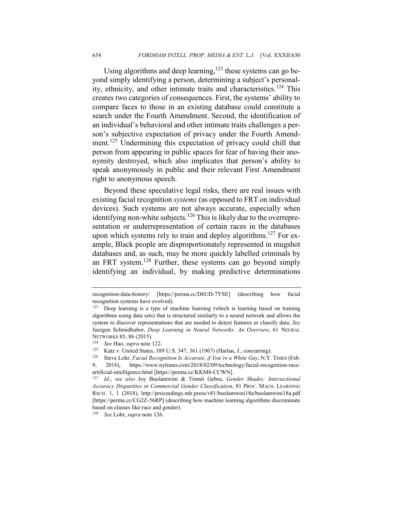Using algorithms and deep learning,  $123$  these systems can go beyond simply identifying a person, determining a subject's personality, ethnicity, and other intimate traits and characteristics.<sup>124</sup> This creates two categories of consequences. First, the systems' ability to compare faces to those in an existing database could constitute a search under the Fourth Amendment. Second, the identification of an individual's behavioral and other intimate traits challenges a person's subjective expectation of privacy under the Fourth Amendment.<sup>125</sup> Undermining this expectation of privacy could chill that person from appearing in public spaces for fear of having their anonymity destroyed, which also implicates that person's ability to speak anonymously in public and their relevant First Amendment right to anonymous speech.

Beyond these speculative legal risks, there are real issues with existing facial recognition *systems* (as opposed to FRT on individual devices). Such systems are not always accurate, especially when identifying non-white subjects.<sup>126</sup> This is likely due to the overrepresentation or underrepresentation of certain races in the databases upon which systems rely to train and deploy algorithms.<sup>127</sup> For example, Black people are disproportionately represented in mugshot databases and, as such, may be more quickly labelled criminals by an FRT system.<sup>128</sup> Further, these systems can go beyond simply identifying an individual, by making predictive determinations

<sup>128</sup> *See* Lohr, *supra* note 126.

recognition-data-history/ [https://perma.cc/D6UD-7YSE] (describing how facial recognition systems have evolved).

 $123$  Deep learning is a type of machine learning (which is learning based on training algorithms using data sets) that is structured similarly to a neural network and allows the system to discover representations that are needed to detect features or classify data. *See* Juergen Schmidhuber, *Deep Learning in Neural Networks: An Overview*, 61 NEURAL NETWORKS 85, 86 (2015).<br><sup>124</sup> See Han sunra pote

<sup>124</sup> *See* Hao, *supra* note 122.

<sup>&</sup>lt;sup>125</sup> Katz v. United States, 389 U.S. 347, 361 (1967) (Harlan, J., concurring).<br><sup>126</sup> Steve Lohr *Facial Recognition Is Accurate, if You're a White Guv. N.Y.* 

<sup>126</sup> Steve Lohr, *Facial Recognition Is Accurate, if You're a White Guy*, N.Y. TIMES (Feb. 9, 2018), https://www.nytimes.com/2018/02/09/technology/facial-recognition-raceartificial-intelligence.html [https://perma.cc/KKM8-CCWN].

<sup>127</sup> *Id.*; *see also* Joy Buolamwini & Timnit Gebru, *Gender Shades: Intersectional Accuracy Disparities in Commercial Gender Classification*, 81 PROC. MACH. LEARNING RSCH. 1, 1 (2018), http://proceedings.mlr.press/v81/buolamwini18a/buolamwini18a.pdf [https://perma.cc/CG2Z-56RP] (describing how machine learning algorithms discriminate based on classes like race and gender).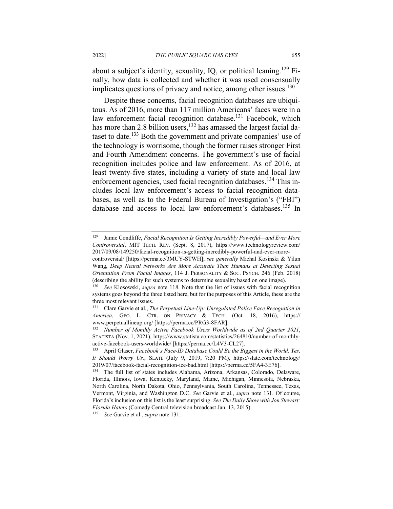about a subject's identity, sexuality, IO, or political leaning.<sup>129</sup> Finally, how data is collected and whether it was used consensually implicates questions of privacy and notice, among other issues.<sup>130</sup>

Despite these concerns, facial recognition databases are ubiquitous. As of 2016, more than 117 million Americans' faces were in a law enforcement facial recognition database.<sup>131</sup> Facebook, which has more than 2.8 billion users,<sup>132</sup> has amassed the largest facial dataset to date.<sup>133</sup> Both the government and private companies' use of the technology is worrisome, though the former raises stronger First and Fourth Amendment concerns. The government's use of facial recognition includes police and law enforcement. As of 2016, at least twenty-five states, including a variety of state and local law enforcement agencies, used facial recognition databases.<sup>134</sup> This includes local law enforcement's access to facial recognition databases, as well as to the Federal Bureau of Investigation's ("FBI") database and access to local law enforcement's databases.<sup>135</sup> In

<sup>129</sup> Jamie Condliffe, *Facial Recognition Is Getting Incredibly Powerful—and Ever More Controversial*, MIT TECH. REV. (Sept. 8, 2017), https://www.technologyreview.com/ 2017/09/08/149250/facial-recognition-is-getting-incredibly-powerful-and-ever-more-

controversial/ [https://perma.cc/3MUY-STWH]; *see generally* Michal Kosinski & Yilun Wang, *Deep Neural Networks Are More Accurate Than Humans at Detecting Sexual Orientation From Facial Images*, 114 J. PERSONALITY & SOC. PSYCH. 246 (Feb. 2018) (describing the ability for such systems to determine sexuality based on one image).

<sup>130</sup> *See* Klosowski, *supra* note 118. Note that the list of issues with facial recognition systems goes beyond the three listed here, but for the purposes of this Article, these are the three most relevant issues.

<sup>131</sup> Clare Garvie et al., *The Perpetual Line-Up: Unregulated Police Face Recognition in America*, GEO. L. CTR. ON PRIVACY & TECH. (Oct. 18, 2016), https:// www.perpetuallineup.org/ [https://perma.cc/PRG3-8FAR].

<sup>132</sup> *Number of Monthly Active Facebook Users Worldwide as of 2nd Quarter 2021*, STATISTA (Nov. 1, 2021), https://www.statista.com/statistics/264810/number-of-monthlyactive-facebook-users-worldwide/ [https://perma.cc/L4V3-CL27].

<sup>133</sup> April Glaser, *Facebook's Face-ID Database Could Be the Biggest in the World. Yes, It Should Worry Us.*, SLATE (July 9, 2019, 7:20 PM), https://slate.com/technology/ 2019/07/facebook-facial-recognition-ice-bad.html [https://perma.cc/5FA4-3E76].

<sup>134</sup> The full list of states includes Alabama, Arizona, Arkansas, Colorado, Delaware, Florida, Illinois, Iowa, Kentucky, Maryland, Maine, Michigan, Minnesota, Nebraska, North Carolina, North Dakota, Ohio, Pennsylvania, South Carolina, Tennessee, Texas, Vermont, Virginia, and Washington D.C. *See* Garvie et al., *supra* note 131. Of course, Florida's inclusion on this list is the least surprising. *See The Daily Show with Jon Stewart: Florida Haters* (Comedy Central television broadcast Jan. 13, 2015).

<sup>135</sup> *See* Garvie et al., *supra* note 131.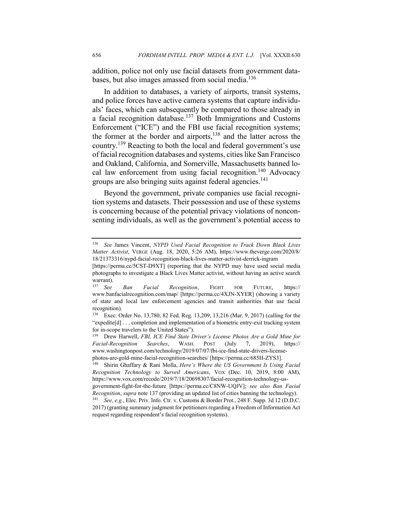addition, police not only use facial datasets from government databases, but also images amassed from social media.<sup>136</sup>

In addition to databases, a variety of airports, transit systems, and police forces have active camera systems that capture individuals' faces, which can subsequently be compared to those already in a facial recognition database.<sup>137</sup> Both Immigrations and Customs Enforcement ("ICE") and the FBI use facial recognition systems; the former at the border and airports,<sup>138</sup> and the latter across the country.<sup>139</sup> Reacting to both the local and federal government's use of facial recognition databases and systems, cities like San Francisco and Oakland, California, and Somerville, Massachusetts banned local law enforcement from using facial recognition.<sup>140</sup> Advocacy groups are also bringing suits against federal agencies.<sup>141</sup>

Beyond the government, private companies use facial recognition systems and datasets. Their possession and use of these systems is concerning because of the potential privacy violations of nonconsenting individuals, as well as the government's potential access to

<sup>136</sup> *See* James Vincent, *NYPD Used Facial Recognition to Track Down Black Lives Matter Activist*, VERGE (Aug. 18, 2020, 5:26 AM), https://www.theverge.com/2020/8/ 18/21373316/nypd-facial-recognition-black-lives-matter-activist-derrick-ingram

<sup>[</sup>https://perma.cc/5CST-D9XT] (reporting that the NYPD may have used social media photographs to investigate a Black Lives Matter activist, without having an active search warrant).<br><sup>137</sup> See

<sup>137</sup> *See Ban Facial Recognition*, FIGHT FOR FUTURE, https:// www.banfacialrecognition.com/map/ [https://perma.cc/4XJN-XYER] (showing a variety of state and local law enforcement agencies and transit authorities that use facial recognition).

<sup>138</sup> Exec. Order No. 13,780, 82 Fed. Reg. 13,209, 13,216 (Mar. 9, 2017) (calling for the "expedite[d] . . . completion and implementation of a biometric entry-exit tracking system for in-scope travelers to the United States").

<sup>139</sup> Drew Harwell, *FBI, ICE Find State Driver's License Photos Are a Gold Mine for Facial-Recognition Searches*, WASH. POST (July 7, 2019), https:// www.washingtonpost.com/technology/2019/07/07/fbi-ice-find-state-drivers-licensephotos-are-gold-mine-facial-recognition-searches/ [https://perma.cc/685H-ZYS3].

<sup>140</sup> Shirin Ghaffary & Rani Molla, *Here's Where the US Government Is Using Facial Recognition Technology to Surveil Americans*, VOX (Dec. 10, 2019, 8:00 AM), https://www.vox.com/recode/2019/7/18/20698307/facial-recognition-technology-us-

government-fight-for-the-future [https://perma.cc/C8NW-UQJV]; *see also Ban Facial Recognition*, *supra* note 137 (providing an updated list of cities banning the technology).

<sup>141</sup> *See, e.g.*, Elec. Priv. Info. Ctr. v. Customs & Border Prot., 248 F. Supp. 3d 12 (D.D.C. 2017) (granting summary judgment for petitioners regarding a Freedom of Information Act request regarding respondent's facial recognition systems).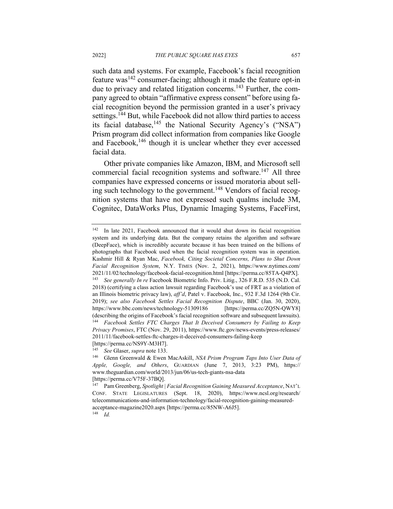such data and systems. For example, Facebook's facial recognition feature was<sup>142</sup> consumer-facing; although it made the feature opt-in due to privacy and related litigation concerns.<sup>143</sup> Further, the company agreed to obtain "affirmative express consent" before using facial recognition beyond the permission granted in a user's privacy settings.<sup>144</sup> But, while Facebook did not allow third parties to access its facial database,  $145$  the National Security Agency's ("NSA") Prism program did collect information from companies like Google and Facebook, $146$  though it is unclear whether they ever accessed facial data.

Other private companies like Amazon, IBM, and Microsoft sell commercial facial recognition systems and software.<sup>147</sup> All three companies have expressed concerns or issued moratoria about selling such technology to the government.<sup>148</sup> Vendors of facial recognition systems that have not expressed such qualms include 3M, Cognitec, DataWorks Plus, Dynamic Imaging Systems, FaceFirst,

<sup>142</sup> In late 2021, Facebook announced that it would shut down its facial recognition system and its underlying data. But the company retains the algorithm and software (DeepFace), which is incredibly accurate because it has been trained on the billions of photographs that Facebook used when the facial recognition system was in operation. Kashmir Hill & Ryan Mac, *Facebook, Citing Societal Concerns, Plans to Shut Down Facial Recognition System*, N.Y. TIMES (Nov. 2, 2021), https://www.nytimes.com/ 2021/11/02/technology/facebook-facial-recognition.html [https://perma.cc/85TA-Q4PX]. <sup>143</sup> *See generally In re* Facebook Biometric Info. Priv. Litig., 326 F.R.D. 535 (N.D. Cal. 2018) (certifying a class action lawsuit regarding Facebook's use of FRT as a violation of an Illinois biometric privacy law), *aff'd*, Patel v. Facebook, Inc., 932 F.3d 1264 (9th Cir. 2019); *see also Facebook Settles Facial Recognition Dispute*, BBC (Jan. 30, 2020), https://www.bbc.com/news/technology-51309186 [https://perma.cc/ZQ5N-QWY8] (describing the origins of Facebook's facial recognition software and subsequent lawsuits). <sup>144</sup> *Facebook Settles FTC Charges That It Deceived Consumers by Failing to Keep Privacy Promises*, FTC (Nov. 29, 2011), https://www.ftc.gov/news-events/press-releases/ 2011/11/facebook-settles-ftc-charges-it-deceived-consumers-failing-keep [https://perma.cc/NS9Y-M3H7].

<sup>145</sup> *See* Glaser, *supra* note 133.

<sup>146</sup> Glenn Greenwald & Ewen MacAskill, *NSA Prism Program Taps Into User Data of Apple, Google, and Others*, GUARDIAN (June 7, 2013, 3:23 PM), https:// www.theguardian.com/world/2013/jun/06/us-tech-giants-nsa-data [https://perma.cc/V75F-37BQ].

<sup>147</sup> Pam Greenberg, *Spotlight | Facial Recognition Gaining Measured Acceptance*, NAT'L CONF. STATE LEGISLATURES (Sept. 18, 2020), https://www.ncsl.org/research/ telecommunications-and-information-technology/facial-recognition-gaining-measuredacceptance-magazine2020.aspx [https://perma.cc/85NW-A6J5]. <sup>148</sup> *Id.*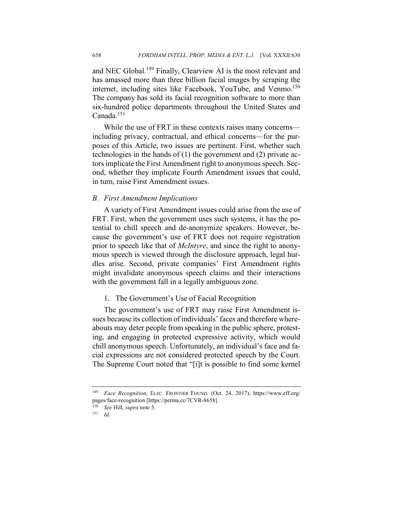and NEC Global.<sup>149</sup> Finally, Clearview AI is the most relevant and has amassed more than three billion facial images by scraping the internet, including sites like Facebook, YouTube, and Venmo.<sup>150</sup> The company has sold its facial recognition software to more than six-hundred police departments throughout the United States and Canada.<sup>151</sup>

While the use of FRT in these contexts raises many concerns including privacy, contractual, and ethical concerns—for the purposes of this Article, two issues are pertinent. First, whether such technologies in the hands of (1) the government and (2) private actors implicate the First Amendment right to anonymous speech. Second, whether they implicate Fourth Amendment issues that could, in turn, raise First Amendment issues.

#### *B. First Amendment Implications*

A variety of First Amendment issues could arise from the use of FRT. First, when the government uses such systems, it has the potential to chill speech and de-anonymize speakers. However, because the government's use of FRT does not require registration prior to speech like that of *McIntyre*, and since the right to anonymous speech is viewed through the disclosure approach, legal hurdles arise. Second, private companies' First Amendment rights might invalidate anonymous speech claims and their interactions with the government fall in a legally ambiguous zone.

#### 1. The Government's Use of Facial Recognition

The government's use of FRT may raise First Amendment issues because its collection of individuals' faces and therefore whereabouts may deter people from speaking in the public sphere, protesting, and engaging in protected expressive activity, which would chill anonymous speech. Unfortunately, an individual's face and facial expressions are not considered protected speech by the Court. The Supreme Court noted that "[i]t is possible to find some kernel

<sup>149</sup> *Face Recognition*, ELEC. FRONTIER FOUND. (Oct. 24, 2017), https://www.eff.org/ pages/face-recognition [https://perma.cc/7CVR-8658].

<sup>150</sup> *See* Hill, *supra* note 5.

<sup>151</sup> *Id*.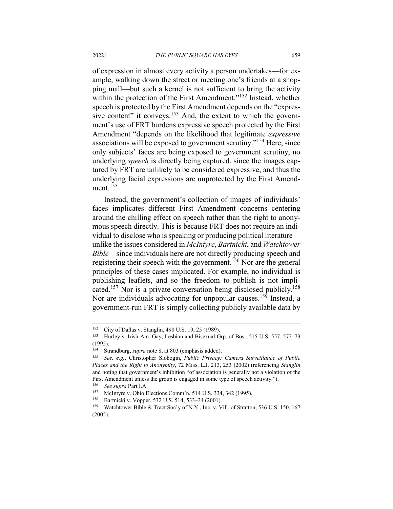of expression in almost every activity a person undertakes—for example, walking down the street or meeting one's friends at a shopping mall—but such a kernel is not sufficient to bring the activity within the protection of the First Amendment."<sup>152</sup> Instead, whether speech is protected by the First Amendment depends on the "expressive content" it conveys.<sup>153</sup> And, the extent to which the government's use of FRT burdens expressive speech protected by the First Amendment "depends on the likelihood that legitimate *expressive* associations will be exposed to government scrutiny."<sup>154</sup> Here, since only subjects' faces are being exposed to government scrutiny, no underlying *speech* is directly being captured, since the images captured by FRT are unlikely to be considered expressive, and thus the underlying facial expressions are unprotected by the First Amendment.<sup>155</sup>

Instead, the government's collection of images of individuals' faces implicates different First Amendment concerns centering around the chilling effect on speech rather than the right to anonymous speech directly. This is because FRT does not require an individual to disclose who is speaking or producing political literature unlike the issues considered in *McIntyre*, *Bartnicki*, and *Watchtower Bible*—since individuals here are not directly producing speech and registering their speech with the government.<sup>156</sup> Nor are the general principles of these cases implicated. For example, no individual is publishing leaflets, and so the freedom to publish is not implicated.<sup>157</sup> Nor is a private conversation being disclosed publicly.<sup>158</sup> Nor are individuals advocating for unpopular causes.<sup>159</sup> Instead, a government-run FRT is simply collecting publicly available data by

<sup>&</sup>lt;sup>152</sup> City of Dallas v. Stanglin, 490 U.S. 19, 25 (1989).<br><sup>153</sup> Hurley v. Irish-Am. Gay, Leshian and Bisexual G

Hurley v. Irish-Am. Gay, Lesbian and Bisexual Grp. of Bos., 515 U.S. 557, 572-73 (1995).

<sup>154</sup> Strandburg, *supra* note 8, at 803 (emphasis added).

<sup>155</sup> *See, e.g.*, Christopher Slobogin, *Public Privacy: Camera Surveillance of Public Places and the Right to Anonymity*, 72 MISS. L.J. 213, 253 (2002) (referencing *Stanglin* and noting that government's inhibition "of association is generally not a violation of the First Amendment unless the group is engaged in some type of speech activity.").

<sup>156</sup> *See supra* Part I.A.

McIntyre v. Ohio Elections Comm'n, 514 U.S. 334, 342 (1995).

<sup>&</sup>lt;sup>158</sup> Bartnicki v. Vopper, 532 U.S. 514, 533–34 (2001).<br><sup>159</sup> Watchtower Bible & Tract Soc'v of N.Y., Inc. v. V

Watchtower Bible & Tract Soc'y of N.Y., Inc. v. Vill. of Stratton, 536 U.S. 150, 167 (2002).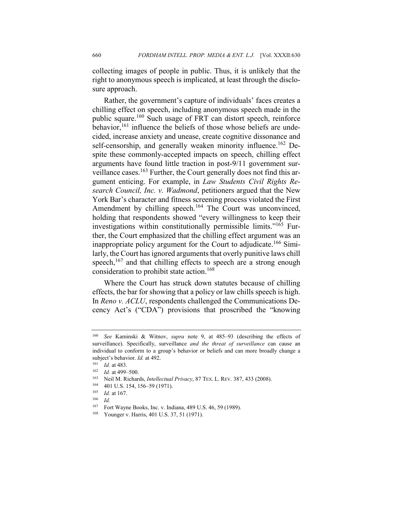collecting images of people in public. Thus, it is unlikely that the right to anonymous speech is implicated, at least through the disclosure approach.

Rather, the government's capture of individuals' faces creates a chilling effect on speech, including anonymous speech made in the public square.<sup>160</sup> Such usage of FRT can distort speech, reinforce behavior, $161$  influence the beliefs of those whose beliefs are undecided, increase anxiety and unease, create cognitive dissonance and self-censorship, and generally weaken minority influence.<sup>162</sup> Despite these commonly-accepted impacts on speech, chilling effect arguments have found little traction in post-9/11 government surveillance cases.<sup>163</sup> Further, the Court generally does not find this argument enticing. For example, in *Law Students Civil Rights Research Council, Inc. v. Wadmond*, petitioners argued that the New York Bar's character and fitness screening process violated the First Amendment by chilling speech.<sup>164</sup> The Court was unconvinced, holding that respondents showed "every willingness to keep their investigations within constitutionally permissible limits."165 Further, the Court emphasized that the chilling effect argument was an inappropriate policy argument for the Court to adjudicate.<sup>166</sup> Similarly, the Court has ignored arguments that overly punitive laws chill speech,<sup>167</sup> and that chilling effects to speech are a strong enough consideration to prohibit state action.<sup>168</sup>

Where the Court has struck down statutes because of chilling effects, the bar for showing that a policy or law chills speech is high. In *Reno v. ACLU*, respondents challenged the Communications Decency Act's ("CDA") provisions that proscribed the "knowing

<sup>160</sup> *See* Kaminski & Witnov, *supra* note 9, at 485–93 (describing the effects of surveillance). Specifically, surveillance *and the threat of surveillance* can cause an individual to conform to a group's behavior or beliefs and can more broadly change a subject's behavior. *Id.* at 492.

<sup>161</sup> *Id.* at 483.

<sup>162</sup> *Id.* at 499–500.

<sup>163</sup> Neil M. Richards, *Intellectual Privacy*, 87 TEX. L. REV. 387, 433 (2008).

 $^{164}$  401 U.S. 154, 156–59 (1971).<br> $^{165}$  *Id* at 167

 $\frac{165}{166}$  *Id.* at 167.

 $\frac{166}{167}$  *Id.* 

Fort Wayne Books, Inc. v. Indiana, 489 U.S. 46, 59 (1989).

<sup>168</sup> Younger v. Harris, 401 U.S. 37, 51 (1971).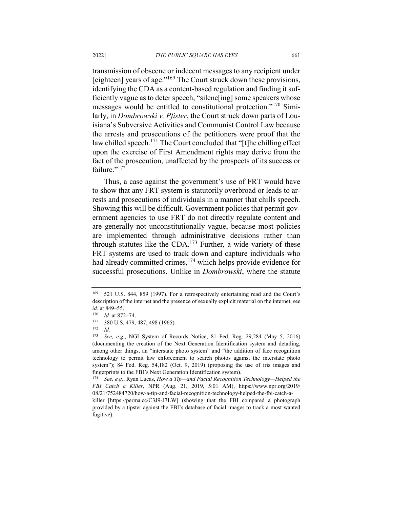transmission of obscene or indecent messages to any recipient under [eighteen] years of age."<sup>169</sup> The Court struck down these provisions, identifying the CDA as a content-based regulation and finding it sufficiently vague as to deter speech, "silenc[ing] some speakers whose messages would be entitled to constitutional protection."<sup>170</sup> Similarly, in *Dombrowski v. Pfister*, the Court struck down parts of Louisiana's Subversive Activities and Communist Control Law because the arrests and prosecutions of the petitioners were proof that the law chilled speech.<sup>171</sup> The Court concluded that "[t]he chilling effect upon the exercise of First Amendment rights may derive from the fact of the prosecution, unaffected by the prospects of its success or failure."<sup>172</sup>

Thus, a case against the government's use of FRT would have to show that any FRT system is statutorily overbroad or leads to arrests and prosecutions of individuals in a manner that chills speech. Showing this will be difficult. Government policies that permit government agencies to use FRT do not directly regulate content and are generally not unconstitutionally vague, because most policies are implemented through administrative decisions rather than through statutes like the CDA.<sup>173</sup> Further, a wide variety of these FRT systems are used to track down and capture individuals who had already committed crimes,<sup>174</sup> which helps provide evidence for successful prosecutions. Unlike in *Dombrowski*, where the statute

<sup>169</sup> 521 U.S. 844, 859 (1997). For a retrospectively entertaining read and the Court's description of the internet and the presence of sexually explicit material on the internet, see *id.* at 849–55.

 $\frac{170}{171}$  *Id.* at 872–74.

 $^{171}$  380 U.S. 479, 487, 498 (1965).<br> $^{172}$  *Id* 

*Id.* 

<sup>173</sup> *See, e.g.*, NGI System of Records Notice, 81 Fed. Reg. 29,284 (May 5, 2016) (documenting the creation of the Next Generation Identification system and detailing, among other things, an "interstate photo system" and "the addition of face recognition technology to permit law enforcement to search photos against the interstate photo system"); 84 Fed. Reg. 54,182 (Oct. 9, 2019) (proposing the use of iris images and fingerprints to the FBI's Next Generation Identification system).

<sup>174</sup> *See, e.g.*, Ryan Lucas, *How a Tip—and Facial Recognition Technology—Helped the FBI Catch a Killer*, NPR (Aug. 21, 2019, 5:01 AM), https://www.npr.org/2019/ 08/21/752484720/how-a-tip-and-facial-recognition-technology-helped-the-fbi-catch-a-

killer [https://perma.cc/C3J9-J7LW] (showing that the FBI compared a photograph provided by a tipster against the FBI's database of facial images to track a most wanted fugitive).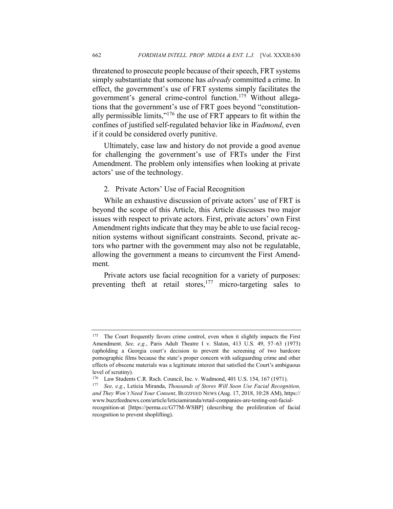threatened to prosecute people because of their speech, FRT systems simply substantiate that someone has *already* committed a crime. In effect, the government's use of FRT systems simply facilitates the government's general crime-control function.<sup>175</sup> Without allegations that the government's use of FRT goes beyond "constitutionally permissible limits," $176$  the use of FRT appears to fit within the confines of justified self-regulated behavior like in *Wadmond*, even if it could be considered overly punitive.

Ultimately, case law and history do not provide a good avenue for challenging the government's use of FRTs under the First Amendment. The problem only intensifies when looking at private actors' use of the technology.

2. Private Actors' Use of Facial Recognition

While an exhaustive discussion of private actors' use of FRT is beyond the scope of this Article, this Article discusses two major issues with respect to private actors. First, private actors' own First Amendment rights indicate that they may be able to use facial recognition systems without significant constraints. Second, private actors who partner with the government may also not be regulatable, allowing the government a means to circumvent the First Amendment.

Private actors use facial recognition for a variety of purposes: preventing theft at retail stores,  $177$  micro-targeting sales to

<sup>&</sup>lt;sup>175</sup> The Court frequently favors crime control, even when it slightly impacts the First Amendment. *See, e.g.*, Paris Adult Theatre I v. Slaton, 413 U.S. 49, 57–63 (1973) (upholding a Georgia court's decision to prevent the screening of two hardcore pornographic films because the state's proper concern with safeguarding crime and other effects of obscene materials was a legitimate interest that satisfied the Court's ambiguous level of scrutiny).

<sup>176</sup> Law Students C.R. Rsch. Council, Inc. v. Wadmond, 401 U.S. 154, 167 (1971).

<sup>177</sup> *See, e.g.*, Leticia Miranda, *Thousands of Stores Will Soon Use Facial Recognition, and They Won't Need Your Consent*, BUZZFEED NEWS (Aug. 17, 2018, 10:28 AM), https:// www.buzzfeednews.com/article/leticiamiranda/retail-companies-are-testing-out-facialrecognition-at [https://perma.cc/G77M-WSBP] (describing the proliferation of facial recognition to prevent shoplifting).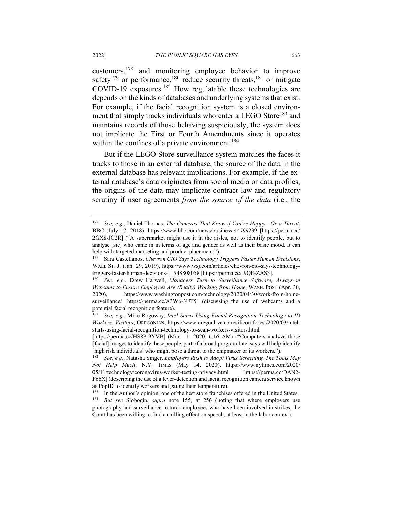customers, $178$  and monitoring employee behavior to improve safety<sup>179</sup> or performance,<sup>180</sup> reduce security threats,<sup>181</sup> or mitigate COVID-19 exposures. <sup>182</sup> How regulatable these technologies are depends on the kinds of databases and underlying systems that exist. For example, if the facial recognition system is a closed environment that simply tracks individuals who enter a LEGO Store<sup>183</sup> and maintains records of those behaving suspiciously, the system does not implicate the First or Fourth Amendments since it operates within the confines of a private environment.<sup>184</sup>

But if the LEGO Store surveillance system matches the faces it tracks to those in an external database, the source of the data in the external database has relevant implications. For example, if the external database's data originates from social media or data profiles, the origins of the data may implicate contract law and regulatory scrutiny if user agreements *from the source of the data* (i.e., the

<sup>178</sup> *See, e.g.*, Daniel Thomas, *The Cameras That Know if You're Happy—Or a Threat*, BBC (July 17, 2018), https://www.bbc.com/news/business-44799239 [https://perma.cc/ 2GX8-JC2R] ("A supermarket might use it in the aisles, not to identify people, but to analyse [sic] who came in in terms of age and gender as well as their basic mood. It can help with targeted marketing and product placement.").

<sup>179</sup> Sara Castellanos, *Chevron CIO Says Technology Triggers Faster Human Decisions*, WALL ST. J. (Jan. 29, 2019), https://www.wsj.com/articles/chevron-cio-says-technologytriggers-faster-human-decisions-11548808058 [https://perma.cc/J9QE-ZAS3].

<sup>180</sup> *See, e.g.*, Drew Harwell, *Managers Turn to Surveillance Software, Always-on Webcams to Ensure Employees Are (Really) Working from Home*, WASH. POST (Apr. 30, 2020), https://www.washingtonpost.com/technology/2020/04/30/work-from-homesurveillance/ [https://perma.cc/A3W6-3UT5] (discussing the use of webcams and a potential facial recognition feature).

<sup>181</sup> *See, e.g.*, Mike Rogoway, *Intel Starts Using Facial Recognition Technology to ID Workers, Visitors*, OREGONIAN, https://www.oregonlive.com/silicon-forest/2020/03/intelstarts-using-facial-recognition-technology-to-scan-workers-visitors.html

<sup>[</sup>https://perma.cc/HS8P-9YVB] (Mar. 11, 2020, 6:16 AM) ("Computers analyze those [facial] images to identify these people, part of a broad program Intel says will help identify 'high risk individuals' who might pose a threat to the chipmaker or its workers.").

<sup>182</sup> *See, e.g.*, Natasha Singer, *Employers Rush to Adopt Virus Screening. The Tools May Not Help Much*, N.Y. TIMES (May 14, 2020), https://www.nytimes.com/2020/ 05/11/technology/coronavirus-worker-testing-privacy.html [https://perma.cc/DAN2- F66X] (describing the use of a fever-detection and facial recognition camera service known as PopID to identify workers and gauge their temperature).

<sup>&</sup>lt;sup>183</sup> In the Author's opinion, one of the best store franchises offered in the United States. <sup>184</sup> *But see* Slobogin, *supra* note 155, at 256 (noting that where employers use photography and surveillance to track employees who have been involved in strikes, the Court has been willing to find a chilling effect on speech, at least in the labor context).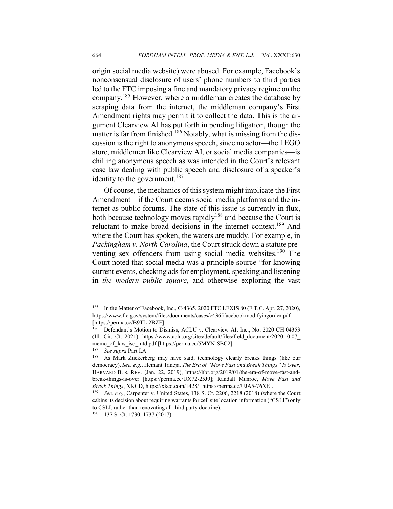origin social media website) were abused. For example, Facebook's nonconsensual disclosure of users' phone numbers to third parties led to the FTC imposing a fine and mandatory privacy regime on the company.<sup>185</sup> However, where a middleman creates the database by scraping data from the internet, the middleman company's First Amendment rights may permit it to collect the data. This is the argument Clearview AI has put forth in pending litigation, though the matter is far from finished.<sup>186</sup> Notably, what is missing from the discussion is the right to anonymous speech, since no actor—the LEGO store, middlemen like Clearview AI, or social media companies—is chilling anonymous speech as was intended in the Court's relevant case law dealing with public speech and disclosure of a speaker's identity to the government.<sup>187</sup>

Of course, the mechanics of this system might implicate the First Amendment—if the Court deems social media platforms and the internet as public forums. The state of this issue is currently in flux, both because technology moves rapidly<sup>188</sup> and because the Court is reluctant to make broad decisions in the internet context.189 And where the Court has spoken, the waters are muddy. For example, in *Packingham v. North Carolina*, the Court struck down a statute preventing sex offenders from using social media websites.<sup>190</sup> The Court noted that social media was a principle source "for knowing current events, checking ads for employment, speaking and listening in *the modern public square*, and otherwise exploring the vast

<sup>&</sup>lt;sup>185</sup> In the Matter of Facebook, Inc., C-4365, 2020 FTC LEXIS 80 (F.T.C. Apr. 27, 2020), https://www.ftc.gov/system/files/documents/cases/c4365facebookmodifyingorder.pdf [https://perma.cc/B9TL-2BZF].

<sup>186</sup> Defendant's Motion to Dismiss, ACLU v. Clearview AI, Inc., No. 2020 CH 04353 (Ill. Cir. Ct. 2021), https://www.aclu.org/sites/default/files/field\_document/2020.10.07\_ memo\_of\_law\_iso\_mtd.pdf [https://perma.cc/5MYN-SBC2].

<sup>187</sup> *See supra* Part I.A.

<sup>188</sup> As Mark Zuckerberg may have said, technology clearly breaks things (like our democracy). *See, e.g.*, Hemant Taneja, *The Era of "Move Fast and Break Things" Is Over*, HARVARD BUS. REV. (Jan. 22, 2019), https://hbr.org/2019/01/the-era-of-move-fast-andbreak-things-is-over [https://perma.cc/UX72-25J9]; Randall Munroe, *Move Fast and Break Things*, XKCD, https://xkcd.com/1428/ [https://perma.cc/UJA5-76XE].

<sup>189</sup> *See, e.g.*, Carpenter v. United States, 138 S. Ct. 2206, 2218 (2018) (where the Court cabins its decision about requiring warrants for cell site location information ("CSLI") only to CSLI, rather than renovating all third party doctrine).

<sup>190</sup> 137 S. Ct. 1730, 1737 (2017).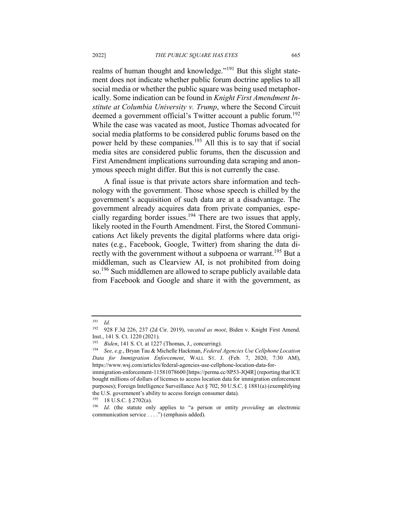realms of human thought and knowledge."<sup>191</sup> But this slight statement does not indicate whether public forum doctrine applies to all social media or whether the public square was being used metaphorically. Some indication can be found in *Knight First Amendment Institute at Columbia University v. Trump*, where the Second Circuit deemed a government official's Twitter account a public forum.<sup>192</sup> While the case was vacated as moot, Justice Thomas advocated for social media platforms to be considered public forums based on the power held by these companies.193 All this is to say that if social media sites are considered public forums, then the discussion and First Amendment implications surrounding data scraping and anonymous speech might differ. But this is not currently the case.

A final issue is that private actors share information and technology with the government. Those whose speech is chilled by the government's acquisition of such data are at a disadvantage. The government already acquires data from private companies, especially regarding border issues.194 There are two issues that apply, likely rooted in the Fourth Amendment. First, the Stored Communications Act likely prevents the digital platforms where data originates (e.g., Facebook, Google, Twitter) from sharing the data directly with the government without a subpoena or warrant.<sup>195</sup> But a middleman, such as Clearview AI, is not prohibited from doing so.<sup>196</sup> Such middlemen are allowed to scrape publicly available data from Facebook and Google and share it with the government, as

<sup>191</sup> *Id.*

<sup>192</sup> 928 F.3d 226, 237 (2d Cir. 2019), *vacated as moot*, Biden v. Knight First Amend. Inst., 141 S. Ct. 1220 (2021).

<sup>193</sup> *Biden*, 141 S. Ct. at 1227 (Thomas, J., concurring).

<sup>194</sup> *See, e.g.*, Bryan Tau & Michelle Hackman, *Federal Agencies Use Cellphone Location Data for Immigration Enforcement*, WALL ST. J. (Feb. 7, 2020, 7:30 AM), https://www.wsj.com/articles/federal-agencies-use-cellphone-location-data-for-

immigration-enforcement-11581078600 [https://perma.cc/8P53-JQ4R] (reporting that ICE bought millions of dollars of licenses to access location data for immigration enforcement purposes); Foreign Intelligence Surveillance Act § 702, 50 U.S.C. § 1881(a) (exemplifying the U.S. government's ability to access foreign consumer data).

 $195$  18 U.S.C. § 2702(a).

<sup>196</sup> *Id*. (the statute only applies to "a person or entity *providing* an electronic communication service . . . .") (emphasis added).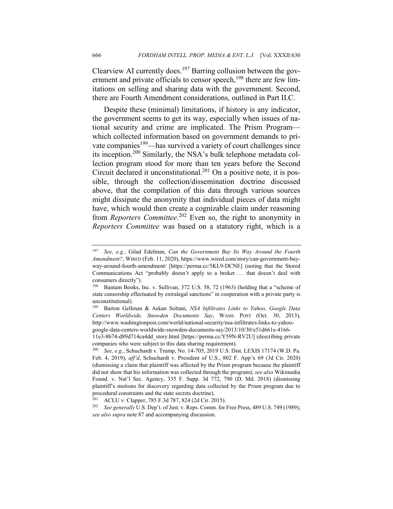Clearview AI currently does.<sup>197</sup> Barring collusion between the government and private officials to censor speech, $198$  there are few limitations on selling and sharing data with the government. Second, there are Fourth Amendment considerations, outlined in Part II.C.

Despite these (minimal) limitations, if history is any indicator, the government seems to get its way, especially when issues of national security and crime are implicated. The Prism Program which collected information based on government demands to private companies<sup>199</sup>—has survived a variety of court challenges since its inception.200 Similarly, the NSA's bulk telephone metadata collection program stood for more than ten years before the Second Circuit declared it unconstitutional.<sup>201</sup> On a positive note, it is possible, through the collection/dissemination doctrine discussed above, that the compilation of this data through various sources might dissipate the anonymity that individual pieces of data might have, which would then create a cognizable claim under reasoning from *Reporters Committee*. <sup>202</sup> Even so, the right to anonymity in *Reporters Committee* was based on a statutory right, which is a

<sup>197</sup> *See, e.g.*, Gilad Edelman, *Can the Government Buy Its Way Around the Fourth Amendment?*, WIRED (Feb. 11, 2020), https://www.wired.com/story/can-government-buyway-around-fourth-amendment/ [https://perma.cc/5KL9-DCNE] (noting that the Stored Communications Act "probably doesn't apply to a broker . . . that doesn't deal with consumers directly").

<sup>198</sup> Bantam Books, Inc. v. Sullivan, 372 U.S. 58, 72 (1963) (holding that a "scheme of state censorship effectuated by extralegal sanctions" in cooperation with a private party is unconstitutional).

<sup>199</sup> Barton Gellman & Askan Soltani, *NSA Infiltrates Links to Yahoo, Google Data Centers Worldwide, Snowden Documents Say*, WASH. POST (Oct. 30, 2013), http://www.washingtonpost.com/world/national-security/nsa-infiltrates-links-to-yahoogoogle-data-centers-worldwide-snowden-documents-say/2013/10/30/e51d661e-4166-

<sup>11</sup>e3-8b74-d89d714ca4dd\_story.html [https://perma.cc/Y59N-RV2U] (describing private companies who were subject to this data sharing requirement).

<sup>200</sup> *See, e.g.*, Schuchardt v. Trump, No. 14-705, 2019 U.S. Dist. LEXIS 17174 (W.D. Pa. Feb. 4, 2019), *aff'd*, Schuchardt v. President of U.S., 802 F. App'x 69 (3d Cir. 2020) (dismissing a claim that plaintiff was affected by the Prism program because the plaintiff did not show that his information was collected through the program); *see also* Wikimedia Found. v. Nat'l Sec. Agency, 335 F. Supp. 3d 772, 790 (D. Md. 2018) (dismissing plaintiff's motions for discovery regarding data collected by the Prism program due to procedural constraints and the state secrets doctrine).

<sup>&</sup>lt;sup>201</sup> ACLU v. Clapper, 785 F.3d 787, 824 (2d Cir. 2015).<br><sup>202</sup> See generally U.S. Den't, of Just, v. Reps. Comm. for

See generally U.S. Dep't. of Just. v. Reps. Comm. for Free Press, 489 U.S. 749 (1989); *see also supra* note 87 and accompanying discussion.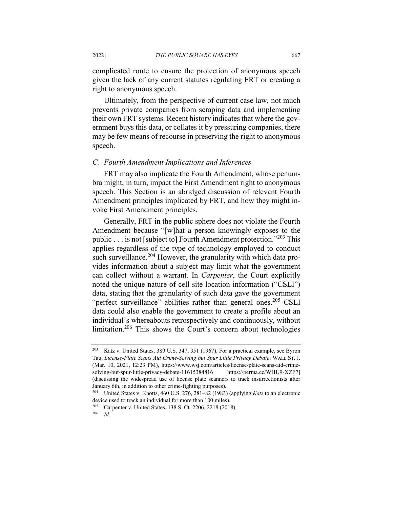complicated route to ensure the protection of anonymous speech given the lack of any current statutes regulating FRT or creating a right to anonymous speech.

Ultimately, from the perspective of current case law, not much prevents private companies from scraping data and implementing their own FRT systems. Recent history indicates that where the government buys this data, or collates it by pressuring companies, there may be few means of recourse in preserving the right to anonymous speech.

### *C. Fourth Amendment Implications and Inferences*

FRT may also implicate the Fourth Amendment, whose penumbra might, in turn, impact the First Amendment right to anonymous speech. This Section is an abridged discussion of relevant Fourth Amendment principles implicated by FRT, and how they might invoke First Amendment principles.

Generally, FRT in the public sphere does not violate the Fourth Amendment because "[w]hat a person knowingly exposes to the public . . . is not [subject to] Fourth Amendment protection."<sup>203</sup> This applies regardless of the type of technology employed to conduct such surveillance.<sup>204</sup> However, the granularity with which data provides information about a subject may limit what the government can collect without a warrant. In *Carpenter*, the Court explicitly noted the unique nature of cell site location information ("CSLI") data, stating that the granularity of such data gave the government "perfect surveillance" abilities rather than general ones.<sup>205</sup> CSLI data could also enable the government to create a profile about an individual's whereabouts retrospectively and continuously, without limitation.<sup>206</sup> This shows the Court's concern about technologies

<sup>203</sup> Katz v. United States, 389 U.S. 347, 351 (1967). For a practical example, see Byron Tau, *License-Plate Scans Aid Crime-Solving but Spur Little Privacy Debate*, WALL ST. J. (Mar. 10, 2021, 12:23 PM), https://www.wsj.com/articles/license-plate-scans-aid-crimesolving-but-spur-little-privacy-debate-11615384816 [https://perma.cc/WHU9-XZF7] (discussing the widespread use of license plate scanners to track insurrectionists after January 6th, in addition to other crime-fighting purposes).

<sup>204</sup> United States v. Knotts, 460 U.S. 276, 281–82 (1983) (applying *Katz* to an electronic device used to track an individual for more than 100 miles).

<sup>205</sup> Carpenter v. United States, 138 S. Ct. 2206, 2218 (2018).

<sup>206</sup> *Id.*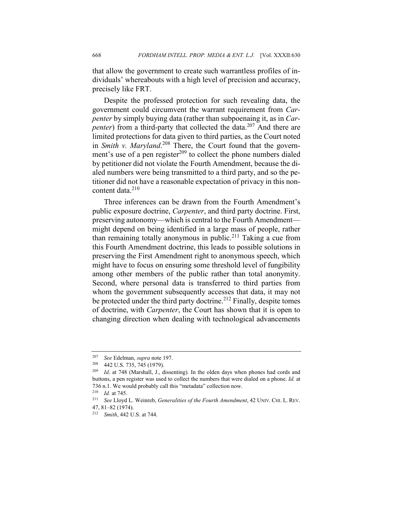that allow the government to create such warrantless profiles of individuals' whereabouts with a high level of precision and accuracy, precisely like FRT.

Despite the professed protection for such revealing data, the government could circumvent the warrant requirement from *Carpenter* by simply buying data (rather than subpoenaing it, as in *Carpenter*) from a third-party that collected the data.<sup>207</sup> And there are limited protections for data given to third parties, as the Court noted in *Smith v. Maryland*. <sup>208</sup> There, the Court found that the government's use of a pen register $^{209}$  to collect the phone numbers dialed by petitioner did not violate the Fourth Amendment, because the dialed numbers were being transmitted to a third party, and so the petitioner did not have a reasonable expectation of privacy in this noncontent data<sup>210</sup>

Three inferences can be drawn from the Fourth Amendment's public exposure doctrine, *Carpenter*, and third party doctrine. First, preserving autonomy—which is central to the Fourth Amendment might depend on being identified in a large mass of people, rather than remaining totally anonymous in public.<sup>211</sup> Taking a cue from this Fourth Amendment doctrine, this leads to possible solutions in preserving the First Amendment right to anonymous speech, which might have to focus on ensuring some threshold level of fungibility among other members of the public rather than total anonymity. Second, where personal data is transferred to third parties from whom the government subsequently accesses that data, it may not be protected under the third party doctrine.<sup>212</sup> Finally, despite tomes of doctrine, with *Carpenter*, the Court has shown that it is open to changing direction when dealing with technological advancements

<sup>207</sup> *See* Edelman, *supra* note 197.

<sup>208</sup> 442 U.S. 735, 745 (1979).

<sup>209</sup> *Id*. at 748 (Marshall, J., dissenting). In the olden days when phones had cords and buttons, a pen register was used to collect the numbers that were dialed on a phone. *Id.* at 736 n.1. We would probably call this "metadata" collection now.

<sup>210</sup> *Id.* at 745.

<sup>211</sup> *See* Lloyd L. Weinreb, *Generalities of the Fourth Amendment*, 42 UNIV. CHI. L. REV. 47, 81–82 (1974).

<sup>212</sup> *Smith*, 442 U.S. at 744.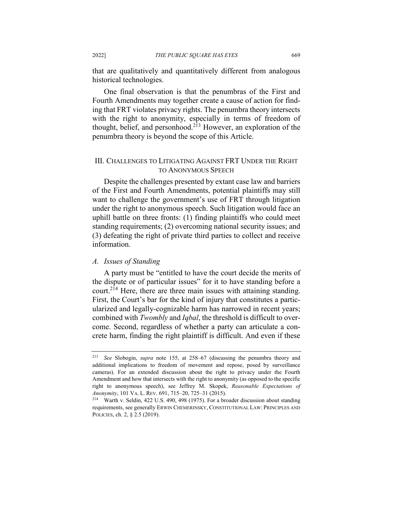that are qualitatively and quantitatively different from analogous historical technologies.

One final observation is that the penumbras of the First and Fourth Amendments may together create a cause of action for finding that FRT violates privacy rights. The penumbra theory intersects with the right to anonymity, especially in terms of freedom of thought, belief, and personhood.<sup>213</sup> However, an exploration of the penumbra theory is beyond the scope of this Article.

## III. CHALLENGES TO LITIGATING AGAINST FRT UNDER THE RIGHT TO ANONYMOUS SPEECH

Despite the challenges presented by extant case law and barriers of the First and Fourth Amendments, potential plaintiffs may still want to challenge the government's use of FRT through litigation under the right to anonymous speech. Such litigation would face an uphill battle on three fronts: (1) finding plaintiffs who could meet standing requirements; (2) overcoming national security issues; and (3) defeating the right of private third parties to collect and receive information.

#### *A. Issues of Standing*

A party must be "entitled to have the court decide the merits of the dispute or of particular issues" for it to have standing before a court.<sup>214</sup> Here, there are three main issues with attaining standing. First, the Court's bar for the kind of injury that constitutes a particularized and legally-cognizable harm has narrowed in recent years; combined with *Twombly* and *Iqbal*, the threshold is difficult to overcome. Second, regardless of whether a party can articulate a concrete harm, finding the right plaintiff is difficult. And even if these

<sup>213</sup> *See* Slobogin, *supra* note 155, at 258–67 (discussing the penumbra theory and additional implications to freedom of movement and repose, posed by surveillance cameras). For an extended discussion about the right to privacy under the Fourth Amendment and how that intersects with the right to anonymity (as opposed to the specific right to anonymous speech), see Jeffrey M. Skopek, *Reasonable Expectations of Anonymity*, 101 VA. L. REV. 691, 715–20, 725–31 (2015).

<sup>214</sup> Warth v. Seldin, 422 U.S. 490, 498 (1975). For a broader discussion about standing requirements, see generally ERWIN CHEMERINSKY, CONSTITUTIONAL LAW: PRINCIPLES AND POLICIES, ch. 2, § 2.5 (2019).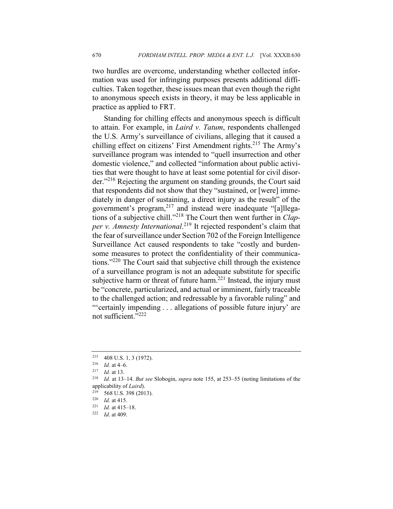two hurdles are overcome, understanding whether collected information was used for infringing purposes presents additional difficulties. Taken together, these issues mean that even though the right to anonymous speech exists in theory, it may be less applicable in practice as applied to FRT.

Standing for chilling effects and anonymous speech is difficult to attain. For example, in *Laird v. Tatum*, respondents challenged the U.S. Army's surveillance of civilians, alleging that it caused a chilling effect on citizens' First Amendment rights.<sup>215</sup> The Army's surveillance program was intended to "quell insurrection and other domestic violence," and collected "information about public activities that were thought to have at least some potential for civil disorder."<sup>216</sup> Rejecting the argument on standing grounds, the Court said that respondents did not show that they "sustained, or [were] immediately in danger of sustaining, a direct injury as the result" of the government's program,<sup>217</sup> and instead were inadequate "[a]llegations of a subjective chill."<sup>218</sup> The Court then went further in *Clapper v. Amnesty International*. <sup>219</sup> It rejected respondent's claim that the fear of surveillance under Section 702 of the Foreign Intelligence Surveillance Act caused respondents to take "costly and burdensome measures to protect the confidentiality of their communications."220 The Court said that subjective chill through the existence of a surveillance program is not an adequate substitute for specific subjective harm or threat of future harm.<sup>221</sup> Instead, the injury must be "concrete, particularized, and actual or imminent, fairly traceable to the challenged action; and redressable by a favorable ruling" and "'certainly impending . . . allegations of possible future injury' are not sufficient."<sup>222</sup>

<sup>215</sup> 408 U.S. 1, 3 (1972).

<sup>216</sup> *Id.* at 4–6.

<sup>217</sup> *Id.* at 13.

<sup>218</sup> *Id.* at 13–14. *But see* Slobogin, *supra* note 155, at 253–55 (noting limitations of the applicability of *Laird*).

 $\frac{219}{220}$  568 U.S. 398 (2013).

 $\frac{220}{221}$  *Id.* at 415.

Id. at 415–18.

<sup>222</sup> *Id*. at 409.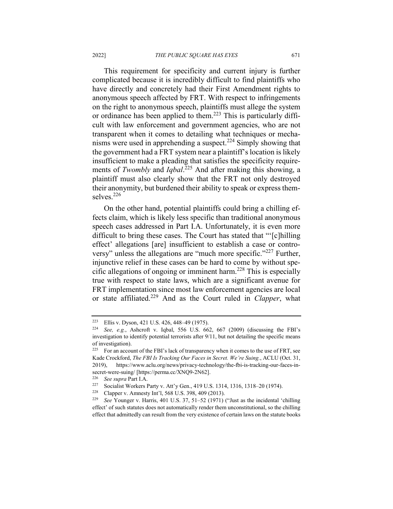This requirement for specificity and current injury is further complicated because it is incredibly difficult to find plaintiffs who have directly and concretely had their First Amendment rights to anonymous speech affected by FRT. With respect to infringements on the right to anonymous speech, plaintiffs must allege the system or ordinance has been applied to them.223 This is particularly difficult with law enforcement and government agencies, who are not transparent when it comes to detailing what techniques or mechanisms were used in apprehending a suspect.<sup>224</sup> Simply showing that the government had a FRT system near a plaintiff's location is likely insufficient to make a pleading that satisfies the specificity requirements of *Twombly* and *Iqbal*. <sup>225</sup> And after making this showing, a plaintiff must also clearly show that the FRT not only destroyed their anonymity, but burdened their ability to speak or express themselves.<sup>226</sup>

On the other hand, potential plaintiffs could bring a chilling effects claim, which is likely less specific than traditional anonymous speech cases addressed in Part I.A. Unfortunately, it is even more difficult to bring these cases. The Court has stated that "'[c]hilling effect' allegations [are] insufficient to establish a case or controversy" unless the allegations are "much more specific."<sup>227</sup> Further, injunctive relief in these cases can be hard to come by without specific allegations of ongoing or imminent harm.<sup>228</sup> This is especially true with respect to state laws, which are a significant avenue for FRT implementation since most law enforcement agencies are local or state affiliated.<sup>229</sup> And as the Court ruled in *Clapper*, what

<sup>223</sup> Ellis v. Dyson, 421 U.S. 426, 448–49 (1975).

See, e.g., Ashcroft v. Iqbal, 556 U.S. 662, 667 (2009) (discussing the FBI's investigation to identify potential terrorists after 9/11, but not detailing the specific means of investigation).

 $225$  For an account of the FBI's lack of transparency when it comes to the use of FRT, see Kade Crockford, *The FBI Is Tracking Our Faces in Secret. We're Suing.*, ACLU (Oct. 31, 2019), https://www.aclu.org/news/privacy-technology/the-fbi-is-tracking-our-faces-insecret-were-suing/ [https://perma.cc/XNQ9-2N62].

<sup>226</sup> *See supra* Part I.A.

<sup>227</sup> Socialist Workers Party v. Att'y Gen., 419 U.S. 1314, 1316, 1318–20 (1974).

<sup>&</sup>lt;sup>228</sup> Clapper v. Amnesty Int'l, 568 U.S. 398, 409 (2013).<br><sup>229</sup> See Younger v. Harris. 401 U.S. 37, 51–52 (1971)

See Younger v. Harris, 401 U.S. 37, 51–52 (1971) ("Just as the incidental 'chilling effect' of such statutes does not automatically render them unconstitutional, so the chilling effect that admittedly can result from the very existence of certain laws on the statute books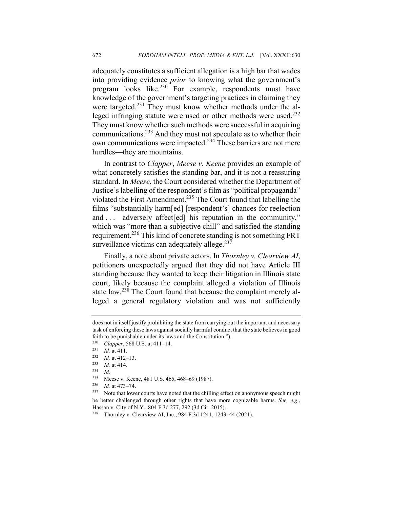adequately constitutes a sufficient allegation is a high bar that wades into providing evidence *prior* to knowing what the government's program looks like.<sup>230</sup> For example, respondents must have knowledge of the government's targeting practices in claiming they were targeted.<sup>231</sup> They must know whether methods under the alleged infringing statute were used or other methods were used.232 They must know whether such methods were successful in acquiring communications.233 And they must not speculate as to whether their own communications were impacted.<sup>234</sup> These barriers are not mere hurdles—they are mountains.

In contrast to *Clapper*, *Meese v. Keene* provides an example of what concretely satisfies the standing bar, and it is not a reassuring standard. In *Meese*, the Court considered whether the Department of Justice's labelling of the respondent's film as "political propaganda" violated the First Amendment.235 The Court found that labelling the films "substantially harm[ed] [respondent's] chances for reelection and . . . adversely affect [ed] his reputation in the community," which was "more than a subjective chill" and satisfied the standing requirement.<sup>236</sup> This kind of concrete standing is not something FRT surveillance victims can adequately allege. $237$ 

Finally, a note about private actors. In *Thornley v. Clearview AI*, petitioners unexpectedly argued that they did not have Article III standing because they wanted to keep their litigation in Illinois state court, likely because the complaint alleged a violation of Illinois state law.<sup>238</sup> The Court found that because the complaint merely alleged a general regulatory violation and was not sufficiently

does not in itself justify prohibiting the state from carrying out the important and necessary task of enforcing these laws against socially harmful conduct that the state believes in good faith to be punishable under its laws and the Constitution.").<br> $^{230}$  Clanner, 568 U.S. at 411–14

<sup>&</sup>lt;sup>230</sup> *Clapper*, 568 U.S. at 411–14.<br><sup>231</sup> *Id.* at 411

 $\frac{231}{232}$  *Id.* at 411.

 $\frac{232}{233}$  *Id.* at 412–13.

 $\frac{233}{234}$  *Id.* at 414.

 $\frac{234}{235}$  *Id.* 

<sup>&</sup>lt;sup>235</sup> Meese v. Keene, 481 U.S. 465, 468–69 (1987).<br><sup>236</sup> Id. at 473, 74

<sup>&</sup>lt;sup>236</sup> *Id.* at 473–74.

Note that lower courts have noted that the chilling effect on anonymous speech might be better challenged through other rights that have more cognizable harms. *See, e.g.*, Hassan v. City of N.Y., 804 F.3d 277, 292 (3d Cir. 2015).

<sup>238</sup> Thornley v. Clearview AI, Inc., 984 F.3d 1241, 1243–44 (2021).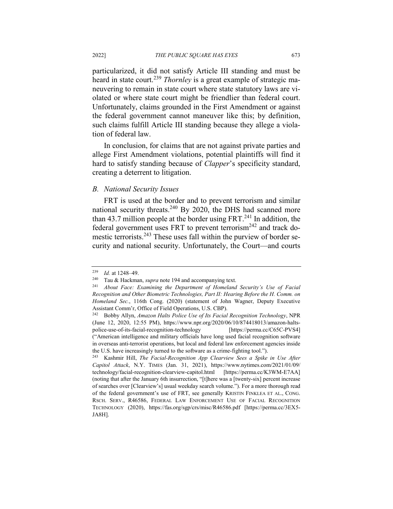particularized, it did not satisfy Article III standing and must be heard in state court.<sup>239</sup> *Thornley* is a great example of strategic maneuvering to remain in state court where state statutory laws are violated or where state court might be friendlier than federal court. Unfortunately, claims grounded in the First Amendment or against the federal government cannot maneuver like this; by definition, such claims fulfill Article III standing because they allege a violation of federal law.

In conclusion, for claims that are not against private parties and allege First Amendment violations, potential plaintiffs will find it hard to satisfy standing because of *Clapper*'s specificity standard, creating a deterrent to litigation.

#### *B. National Security Issues*

FRT is used at the border and to prevent terrorism and similar national security threats.<sup>240</sup> By 2020, the DHS had scanned more than 43.7 million people at the border using  $FRT<sup>241</sup>$  In addition, the federal government uses FRT to prevent terrorism<sup>242</sup> and track domestic terrorists.<sup>243</sup> These uses fall within the purview of border security and national security. Unfortunately, the Court—and courts

<sup>239</sup> *Id.* at 1248–49.

Tau & Hackman, *supra* note 194 and accompanying text.

<sup>241</sup> *About Face: Examining the Department of Homeland Security's Use of Facial Recognition and Other Biometric Technologies, Part II: Hearing Before the H. Comm. on Homeland Sec.*, 116th Cong. (2020) (statement of John Wagner, Deputy Executive Assistant Comm'r, Office of Field Operations, U.S. CBP).

<sup>242</sup> Bobby Allyn, *Amazon Halts Police Use of Its Facial Recognition Technology*, NPR (June 12, 2020, 12:55 PM), https://www.npr.org/2020/06/10/874418013/amazon-haltspolice-use-of-its-facial-recognition-technology [https://perma.cc/C65C-PVS4] ("American intelligence and military officials have long used facial recognition software in overseas anti-terrorist operations, but local and federal law enforcement agencies inside the U.S. have increasingly turned to the software as a crime-fighting tool.").

<sup>243</sup> Kashmir Hill, *The Facial-Recognition App Clearview Sees a Spike in Use After Capitol Attack*, N.Y. TIMES (Jan. 31, 2021), https://www.nytimes.com/2021/01/09/ technology/facial-recognition-clearview-capitol.html [https://perma.cc/K3WM-E7AA] (noting that after the January 6th insurrection, "[t]here was a [twenty-six] percent increase of searches over [Clearview's] usual weekday search volume."). For a more thorough read of the federal government's use of FRT, see generally KRISTIN FINKLEA ET AL., CONG. RSCH. SERV., R46586, FEDERAL LAW ENFORCEMENT USE OF FACIAL RECOGNITION TECHNOLOGY (2020), https://fas.org/sgp/crs/misc/R46586.pdf [https://perma.cc/3EX5- JA8H].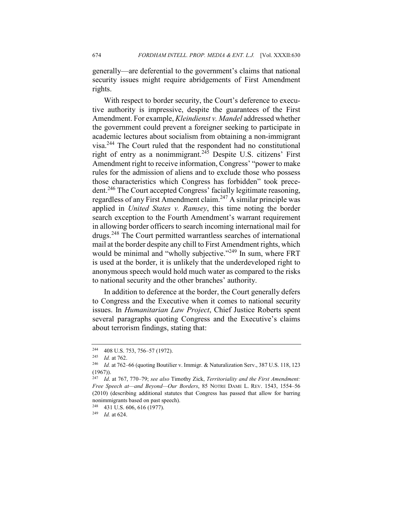generally—are deferential to the government's claims that national security issues might require abridgements of First Amendment rights.

With respect to border security, the Court's deference to executive authority is impressive, despite the guarantees of the First Amendment. For example, *Kleindienst v. Mandel* addressed whether the government could prevent a foreigner seeking to participate in academic lectures about socialism from obtaining a non-immigrant visa.244 The Court ruled that the respondent had no constitutional right of entry as a nonimmigrant.<sup>245</sup> Despite U.S. citizens' First Amendment right to receive information, Congress' "power to make rules for the admission of aliens and to exclude those who possess those characteristics which Congress has forbidden" took precedent.<sup>246</sup> The Court accepted Congress' facially legitimate reasoning, regardless of any First Amendment claim.247 A similar principle was applied in *United States v. Ramsey*, this time noting the border search exception to the Fourth Amendment's warrant requirement in allowing border officers to search incoming international mail for drugs.<sup>248</sup> The Court permitted warrantless searches of international mail at the border despite any chill to First Amendment rights, which would be minimal and "wholly subjective."<sup>249</sup> In sum, where FRT is used at the border, it is unlikely that the underdeveloped right to anonymous speech would hold much water as compared to the risks to national security and the other branches' authority.

In addition to deference at the border, the Court generally defers to Congress and the Executive when it comes to national security issues. In *Humanitarian Law Project*, Chief Justice Roberts spent several paragraphs quoting Congress and the Executive's claims about terrorism findings, stating that:

<sup>248</sup> 431 U.S. 606, 616 (1977).

<sup>244</sup> 408 U.S. 753, 756–57 (1972).

<sup>245</sup> *Id.* at 762.

<sup>246</sup> *Id.* at 762–66 (quoting Boutilier v. Immigr. & Naturalization Serv., 387 U.S. 118, 123 (1967)).

<sup>247</sup> *Id*. at 767, 770–79; *see also* Timothy Zick, *Territoriality and the First Amendment: Free Speech at—and Beyond—Our Borders*, 85 NOTRE DAME L. REV. 1543, 1554–56 (2010) (describing additional statutes that Congress has passed that allow for barring nonimmigrants based on past speech).

<sup>249</sup> *Id.* at 624.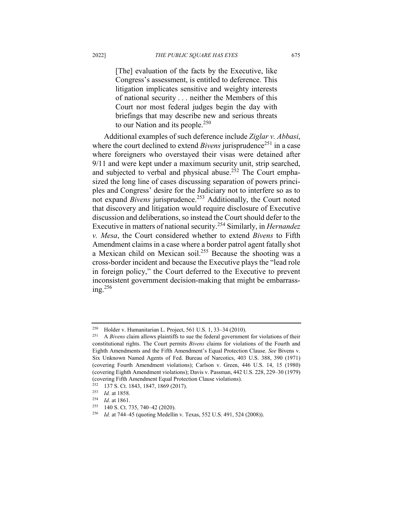[The] evaluation of the facts by the Executive, like Congress's assessment, is entitled to deference. This litigation implicates sensitive and weighty interests of national security . . . neither the Members of this Court nor most federal judges begin the day with briefings that may describe new and serious threats to our Nation and its people. $250$ 

Additional examples of such deference include *Ziglar v. Abbasi*, where the court declined to extend *Bivens* jurisprudence<sup>251</sup> in a case where foreigners who overstayed their visas were detained after 9/11 and were kept under a maximum security unit, strip searched, and subjected to verbal and physical abuse.<sup>252</sup> The Court emphasized the long line of cases discussing separation of powers principles and Congress' desire for the Judiciary not to interfere so as to not expand *Bivens* jurisprudence.<sup>253</sup> Additionally, the Court noted that discovery and litigation would require disclosure of Executive discussion and deliberations, so instead the Court should defer to the Executive in matters of national security.<sup>254</sup> Similarly, in *Hernandez v. Mesa*, the Court considered whether to extend *Bivens* to Fifth Amendment claims in a case where a border patrol agent fatally shot a Mexican child on Mexican soil.255 Because the shooting was a cross-border incident and because the Executive plays the "lead role in foreign policy," the Court deferred to the Executive to prevent inconsistent government decision-making that might be embarrassing. $^{256}$ 

<sup>250</sup> Holder v. Humanitarian L. Project, 561 U.S. 1, 33–34 (2010).

<sup>&</sup>lt;sup>251</sup> A *Bivens* claim allows plaintiffs to sue the federal government for violations of their constitutional rights. The Court permits *Bivens* claims for violations of the Fourth and Eighth Amendments and the Fifth Amendment's Equal Protection Clause. *See* Bivens v. Six Unknown Named Agents of Fed. Bureau of Narcotics, 403 U.S. 388, 390 (1971) (covering Fourth Amendment violations); Carlson v. Green, 446 U.S. 14, 15 (1980) (covering Eighth Amendment violations); Davis v. Passman, 442 U.S. 228, 229–30 (1979) (covering Fifth Amendment Equal Protection Clause violations).

<sup>&</sup>lt;sup>252</sup> 137 S. Ct. 1843, 1847, 1869 (2017).<br><sup>253</sup> Id. at 1858

<sup>&</sup>lt;sup>253</sup> *Id.* at 1858.<br><sup>254</sup> *Id.* at 1861

 $\frac{254}{255}$  *Id.* at 1861.

<sup>140</sup> S. Ct. 735, 740-42 (2020).

<sup>256</sup> *Id.* at 744–45 (quoting Medellin v. Texas, 552 U.S. 491, 524 (2008)).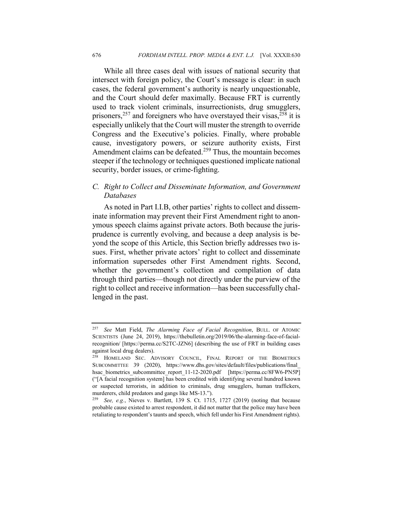While all three cases deal with issues of national security that intersect with foreign policy, the Court's message is clear: in such cases, the federal government's authority is nearly unquestionable, and the Court should defer maximally. Because FRT is currently used to track violent criminals, insurrectionists, drug smugglers, prisoners,  $257$  and foreigners who have overstayed their visas,  $258$  it is especially unlikely that the Court will muster the strength to override Congress and the Executive's policies. Finally, where probable cause, investigatory powers, or seizure authority exists, First Amendment claims can be defeated.<sup>259</sup> Thus, the mountain becomes steeper if the technology or techniques questioned implicate national security, border issues, or crime-fighting.

# *C. Right to Collect and Disseminate Information, and Government Databases*

As noted in Part I.I.B, other parties' rights to collect and disseminate information may prevent their First Amendment right to anonymous speech claims against private actors. Both because the jurisprudence is currently evolving, and because a deep analysis is beyond the scope of this Article, this Section briefly addresses two issues. First, whether private actors' right to collect and disseminate information supersedes other First Amendment rights. Second, whether the government's collection and compilation of data through third parties—though not directly under the purview of the right to collect and receive information—has been successfully challenged in the past.

<sup>257</sup> *See* Matt Field, *The Alarming Face of Facial Recognition*, BULL. OF ATOMIC SCIENTISTS (June 24, 2019), https://thebulletin.org/2019/06/the-alarming-face-of-facialrecognition/ [https://perma.cc/S2TC-JZN6] (describing the use of FRT in building cases against local drug dealers).

<sup>258</sup> HOMELAND SEC. ADVISORY COUNCIL, FINAL REPORT OF THE BIOMETRICS SUBCOMMITTEE 39 (2020), https://www.dhs.gov/sites/default/files/publications/final\_ hsac\_biometrics\_subcommittee\_report\_11-12-2020.pdf [https://perma.cc/8FW6-PN5P] ("[A facial recognition system] has been credited with identifying several hundred known or suspected terrorists, in addition to criminals, drug smugglers, human traffickers, murderers, child predators and gangs like MS-13.").

<sup>259</sup> *See, e.g.*, Nieves v. Bartlett, 139 S. Ct. 1715, 1727 (2019) (noting that because probable cause existed to arrest respondent, it did not matter that the police may have been retaliating to respondent's taunts and speech, which fell under his First Amendment rights).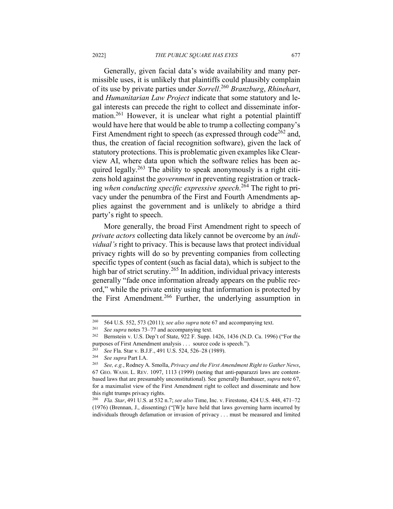Generally, given facial data's wide availability and many permissible uses, it is unlikely that plaintiffs could plausibly complain of its use by private parties under *Sorrell*. <sup>260</sup> *Branzburg*, *Rhinehart*, and *Humanitarian Law Project* indicate that some statutory and legal interests can precede the right to collect and disseminate information.<sup>261</sup> However, it is unclear what right a potential plaintiff would have here that would be able to trump a collecting company's First Amendment right to speech (as expressed through code<sup>262</sup> and, thus, the creation of facial recognition software), given the lack of statutory protections. This is problematic given examples like Clearview AI, where data upon which the software relies has been acquired legally.<sup>263</sup> The ability to speak anonymously is a right citizens hold against the *government* in preventing registration or tracking *when conducting specific expressive speech*. <sup>264</sup> The right to privacy under the penumbra of the First and Fourth Amendments applies against the government and is unlikely to abridge a third party's right to speech.

More generally, the broad First Amendment right to speech of *private actors* collecting data likely cannot be overcome by an *individual's* right to privacy. This is because laws that protect individual privacy rights will do so by preventing companies from collecting specific types of content (such as facial data), which is subject to the high bar of strict scrutiny.<sup>265</sup> In addition, individual privacy interests generally "fade once information already appears on the public record," while the private entity using that information is protected by the First Amendment.<sup>266</sup> Further, the underlying assumption in

<sup>260</sup> 564 U.S. 552, 573 (2011); *see also supra* note 67 and accompanying text.

<sup>261</sup> *See supra* notes 73–77 and accompanying text.

<sup>262</sup> Bernstein v. U.S. Dep't of State, 922 F. Supp. 1426, 1436 (N.D. Ca. 1996) ("For the purposes of First Amendment analysis . . . source code is speech.").<br> $^{263}$  See Fla. Ster v. B J E 401 U S 524 526 28 (1080)

<sup>263</sup> *See* Fla. Star v. B.J.F., 491 U.S. 524, 526–28 (1989).

<sup>264</sup> *See supra* Part I.A.

<sup>265</sup> *See, e.g.*, Rodney A. Smolla, *Privacy and the First Amendment Right to Gather News*, 67 GEO. WASH. L. REV. 1097, 1113 (1999) (noting that anti-paparazzi laws are contentbased laws that are presumably unconstitutional). See generally Bambauer, *supra* note 67, for a maximalist view of the First Amendment right to collect and disseminate and how this right trumps privacy rights.

<sup>266</sup> *Fla. Star*, 491 U.S. at 532 n.7; *see also* Time, Inc. v. Firestone, 424 U.S. 448, 471–72 (1976) (Brennan, J., dissenting) ("[W]e have held that laws governing harm incurred by individuals through defamation or invasion of privacy . . . must be measured and limited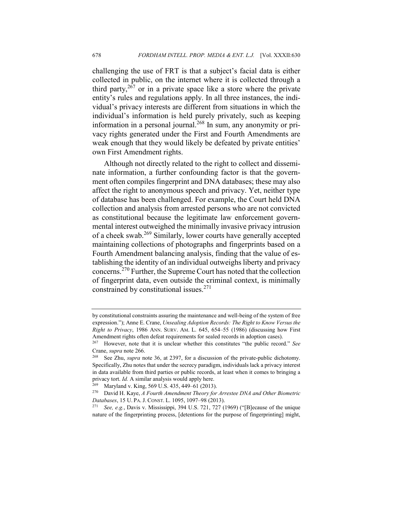challenging the use of FRT is that a subject's facial data is either collected in public, on the internet where it is collected through a third party,  $2\overline{67}$  or in a private space like a store where the private entity's rules and regulations apply. In all three instances, the individual's privacy interests are different from situations in which the individual's information is held purely privately, such as keeping information in a personal journal.<sup>268</sup> In sum, any anonymity or privacy rights generated under the First and Fourth Amendments are weak enough that they would likely be defeated by private entities' own First Amendment rights.

Although not directly related to the right to collect and disseminate information, a further confounding factor is that the government often compiles fingerprint and DNA databases; these may also affect the right to anonymous speech and privacy. Yet, neither type of database has been challenged. For example, the Court held DNA collection and analysis from arrested persons who are not convicted as constitutional because the legitimate law enforcement governmental interest outweighed the minimally invasive privacy intrusion of a cheek swab.<sup>269</sup> Similarly, lower courts have generally accepted maintaining collections of photographs and fingerprints based on a Fourth Amendment balancing analysis, finding that the value of establishing the identity of an individual outweighs liberty and privacy concerns.<sup>270</sup> Further, the Supreme Court has noted that the collection of fingerprint data, even outside the criminal context, is minimally constrained by constitutional issues.271

by constitutional constraints assuring the maintenance and well-being of the system of free expression."); Anne E. Crane, *Unsealing Adoption Records: The Right to Know Versus the Right to Privacy*, 1986 ANN. SURV. AM. L. 645, 654–55 (1986) (discussing how First Amendment rights often defeat requirements for sealed records in adoption cases).

<sup>267</sup> However, note that it is unclear whether this constitutes "the public record." *See*  Crane, *supra* note 266.

<sup>268</sup> See Zhu, *supra* note 36, at 2397, for a discussion of the private-public dichotomy. Specifically, Zhu notes that under the secrecy paradigm, individuals lack a privacy interest in data available from third parties or public records, at least when it comes to bringing a privacy tort. *Id.* A similar analysis would apply here.

<sup>269</sup> Maryland v. King, 569 U.S. 435, 449–61 (2013).

<sup>270</sup> David H. Kaye, *A Fourth Amendment Theory for Arrestee DNA and Other Biometric Databases*, 15 U. PA. J. CONST. L. 1095, 1097–98 (2013).

<sup>271</sup> *See, e.g.*, Davis v. Mississippi, 394 U.S. 721, 727 (1969) ("[B]ecause of the unique nature of the fingerprinting process, [detentions for the purpose of fingerprinting] might,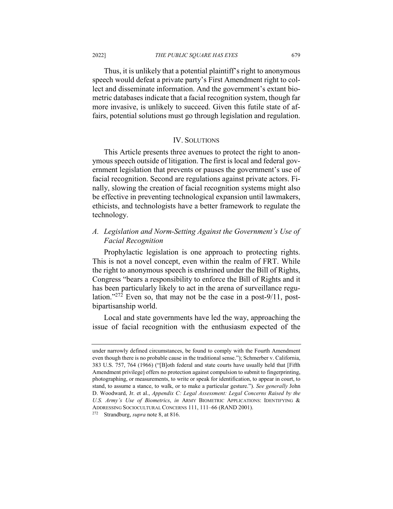Thus, it is unlikely that a potential plaintiff's right to anonymous speech would defeat a private party's First Amendment right to collect and disseminate information. And the government's extant biometric databases indicate that a facial recognition system, though far more invasive, is unlikely to succeed. Given this futile state of affairs, potential solutions must go through legislation and regulation.

#### IV. SOLUTIONS

This Article presents three avenues to protect the right to anonymous speech outside of litigation. The first is local and federal government legislation that prevents or pauses the government's use of facial recognition. Second are regulations against private actors. Finally, slowing the creation of facial recognition systems might also be effective in preventing technological expansion until lawmakers, ethicists, and technologists have a better framework to regulate the technology.

# *A. Legislation and Norm-Setting Against the Government's Use of Facial Recognition*

Prophylactic legislation is one approach to protecting rights. This is not a novel concept, even within the realm of FRT. While the right to anonymous speech is enshrined under the Bill of Rights, Congress "bears a responsibility to enforce the Bill of Rights and it has been particularly likely to act in the arena of surveillance regulation."272 Even so, that may not be the case in a post-9/11, postbipartisanship world.

Local and state governments have led the way, approaching the issue of facial recognition with the enthusiasm expected of the

under narrowly defined circumstances, be found to comply with the Fourth Amendment even though there is no probable cause in the traditional sense."); Schmerber v. California, 383 U.S. 757, 764 (1966) ("[B]oth federal and state courts have usually held that [Fifth Amendment privilege] offers no protection against compulsion to submit to fingerprinting, photographing, or measurements, to write or speak for identification, to appear in court, to stand, to assume a stance, to walk, or to make a particular gesture."). *See generally* John D. Woodward, Jr. et al., *Appendix C: Legal Assessment: Legal Concerns Raised by the U.S. Army's Use of Biometrics*, *in* ARMY BIOMETRIC APPLICATIONS: IDENTIFYING & ADDRESSING SOCIOCULTURAL CONCERNS 111, 111–66 (RAND 2001).

<sup>272</sup> Strandburg, *supra* note 8, at 816.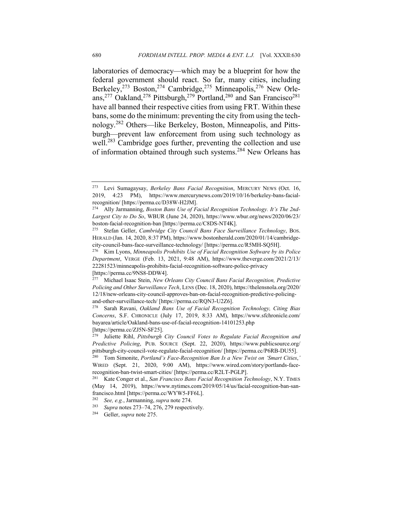laboratories of democracy—which may be a blueprint for how the federal government should react. So far, many cities, including Berkeley,<sup>273</sup> Boston,<sup>274</sup> Cambridge,<sup>275</sup> Minneapolis,<sup>276</sup> New Orleans,<sup>277</sup> Oakland,<sup>278</sup> Pittsburgh,<sup>279</sup> Portland,<sup>280</sup> and San Francisco<sup>281</sup> have all banned their respective cities from using FRT. Within these bans, some do the minimum: preventing the city from using the technology.<sup>282</sup> Others—like Berkeley, Boston, Minneapolis, and Pittsburgh—prevent law enforcement from using such technology as well.<sup>283</sup> Cambridge goes further, preventing the collection and use of information obtained through such systems.<sup>284</sup> New Orleans has

<sup>273</sup> Levi Sumagaysay, *Berkeley Bans Facial Recognition*, MERCURY NEWS (Oct. 16, 2019, 4:23 PM), https://www.mercurynews.com/2019/10/16/berkeley-bans-facialrecognition/ [https://perma.cc/D38W-H2JM].

<sup>274</sup> Ally Jarmanning, *Boston Bans Use of Facial Recognition Technology. It's The 2nd-Largest City to Do So*, WBUR (June 24, 2020), https://www.wbur.org/news/2020/06/23/ boston-facial-recognition-ban [https://perma.cc/C8DS-NT4K].

<sup>275</sup> Stefan Geller, *Cambridge City Council Bans Face Surveillance Technology*, BOS. HERALD (Jan. 14, 2020, 8:37 PM), https://www.bostonherald.com/2020/01/14/cambridgecity-council-bans-face-surveillance-technology/ [https://perma.cc/R5MH-SQ5H].

<sup>276</sup> Kim Lyons, *Minneapolis Prohibits Use of Facial Recognition Software by its Police Department*, VERGE (Feb. 13, 2021, 9:48 AM), https://www.theverge.com/2021/2/13/ 22281523/minneapolis-prohibits-facial-recognition-software-police-privacy [https://perma.cc/9NS8-DDW4].

<sup>277</sup> Michael Isaac Stein, *New Orleans City Council Bans Facial Recognition, Predictive Policing and Other Surveillance Tech*, LENS (Dec. 18, 2020), https://thelensnola.org/2020/ 12/18/new-orleans-city-council-approves-ban-on-facial-recognition-predictive-policingand-other-surveillance-tech/ [https://perma.cc/RQN3-U2Z6].

<sup>278</sup> Sarah Ravani, *Oakland Bans Use of Facial Recognition Technology, Citing Bias Concerns*, S.F. CHRONICLE (July 17, 2019, 8:33 AM), https://www.sfchronicle.com/ bayarea/article/Oakland-bans-use-of-facial-recognition-14101253.php [https://perma.cc/ZJ5N-SF25].

<sup>279</sup> Juliette Rihl, *Pittsburgh City Council Votes to Regulate Facial Recognition and Predictive Policing*, PUB. SOURCE (Sept. 22, 2020), https://www.publicsource.org/ pittsburgh-city-council-vote-regulate-facial-recognition/ [https://perma.cc/P6RB-DU55]. <sup>280</sup> Tom Simonite, *Portland's Face-Recognition Ban Is a New Twist on 'Smart Cities*,*'*

WIRED (Sept. 21, 2020, 9:00 AM), https://www.wired.com/story/portlands-facerecognition-ban-twist-smart-cities/ [https://perma.cc/R2LT-PGLP].

<sup>281</sup> Kate Conger et al., *San Francisco Bans Facial Recognition Technology*, N.Y. TIMES (May 14, 2019), https://www.nytimes.com/2019/05/14/us/facial-recognition-ban-sanfrancisco.html [https://perma.cc/WYW5-FF6L].

<sup>282</sup> *See, e.g.*, Jarmanning, *supra* note 274.

<sup>283</sup> *Supra* notes 273–74, 276, 279 respectively.

<sup>284</sup> Geller, *supra* note 275.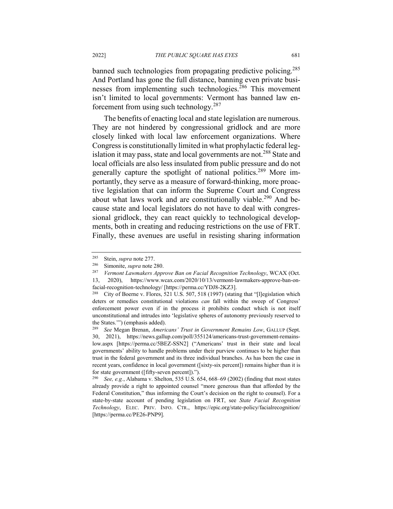banned such technologies from propagating predictive policing.<sup>285</sup> And Portland has gone the full distance, banning even private businesses from implementing such technologies.<sup>286</sup> This movement isn't limited to local governments: Vermont has banned law enforcement from using such technology.<sup>287</sup>

The benefits of enacting local and state legislation are numerous. They are not hindered by congressional gridlock and are more closely linked with local law enforcement organizations. Where Congress is constitutionally limited in what prophylactic federal legislation it may pass, state and local governments are not.<sup>288</sup> State and local officials are also less insulated from public pressure and do not generally capture the spotlight of national politics.<sup>289</sup> More importantly, they serve as a measure of forward-thinking, more proactive legislation that can inform the Supreme Court and Congress about what laws work and are constitutionally viable.<sup>290</sup> And because state and local legislators do not have to deal with congressional gridlock, they can react quickly to technological developments, both in creating and reducing restrictions on the use of FRT. Finally, these avenues are useful in resisting sharing information

<sup>285</sup> Stein, *supra* note 277.

Simonite, *supra* note 280.

<sup>287</sup> *Vermont Lawmakers Approve Ban on Facial Recognition Technology*, WCAX (Oct. 13, 2020), https://www.wcax.com/2020/10/13/vermont-lawmakers-approve-ban-onfacial-recognition-technology/ [https://perma.cc/YDJ8-2KZ3].

<sup>&</sup>lt;sup>288</sup> City of Boerne v. Flores, 521 U.S. 507, 518 (1997) (stating that "[l]egislation which deters or remedies constitutional violations *can* fall within the sweep of Congress' enforcement power even if in the process it prohibits conduct which is not itself unconstitutional and intrudes into 'legislative spheres of autonomy previously reserved to the States.'") (emphasis added).

<sup>289</sup> *See* Megan Brenan, *Americans' Trust in Government Remains Low*, GALLUP (Sept. 30, 2021), https://news.gallup.com/poll/355124/americans-trust-government-remainslow.aspx [https://perma.cc/5BEZ-SSN2] ("Americans' trust in their state and local governments' ability to handle problems under their purview continues to be higher than trust in the federal government and its three individual branches. As has been the case in recent years, confidence in local government ([sixty-six percent]) remains higher than it is for state government ([fifty-seven percent]).").

<sup>290</sup> *See, e.g.*, Alabama v. Shelton, 535 U.S. 654, 668–69 (2002) (finding that most states already provide a right to appointed counsel "more generous than that afforded by the Federal Constitution," thus informing the Court's decision on the right to counsel). For a state-by-state account of pending legislation on FRT, see *State Facial Recognition Technology*, ELEC. PRIV. INFO. CTR., https://epic.org/state-policy/facialrecognition/ [https://perma.cc/PE26-PNP9].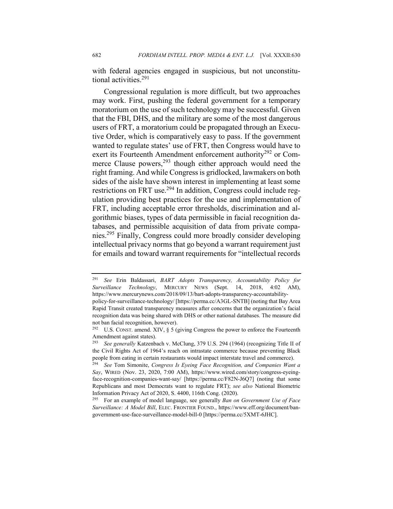with federal agencies engaged in suspicious, but not unconstitutional activities.291

Congressional regulation is more difficult, but two approaches may work. First, pushing the federal government for a temporary moratorium on the use of such technology may be successful. Given that the FBI, DHS, and the military are some of the most dangerous users of FRT, a moratorium could be propagated through an Executive Order, which is comparatively easy to pass. If the government wanted to regulate states' use of FRT, then Congress would have to exert its Fourteenth Amendment enforcement authority<sup>292</sup> or Commerce Clause powers, $293$  though either approach would need the right framing. And while Congress is gridlocked, lawmakers on both sides of the aisle have shown interest in implementing at least some restrictions on FRT use.<sup>294</sup> In addition, Congress could include regulation providing best practices for the use and implementation of FRT, including acceptable error thresholds, discrimination and algorithmic biases, types of data permissible in facial recognition databases, and permissible acquisition of data from private companies.295 Finally, Congress could more broadly consider developing intellectual privacy norms that go beyond a warrant requirement just for emails and toward warrant requirements for "intellectual records

<sup>291</sup> *See* Erin Baldassari, *BART Adopts Transparency, Accountability Policy for Surveillance Technology*, MERCURY NEWS (Sept. 14, 2018, 4:02 AM), https://www.mercurynews.com/2018/09/13/bart-adopts-transparency-accountability-

policy-for-surveillance-technology/ [https://perma.cc/A3GL-SNTB] (noting that Bay Area Rapid Transit created transparency measures after concerns that the organization's facial recognition data was being shared with DHS or other national databases. The measure did not ban facial recognition, however).

<sup>&</sup>lt;sup>292</sup> U.S. CONST. amend. XIV,  $\S$  5 (giving Congress the power to enforce the Fourteenth Amendment against states).<br><sup>293</sup> See generally Katzenba

<sup>293</sup> *See generally* Katzenbach v. McClung, 379 U.S. 294 (1964) (recognizing Title II of the Civil Rights Act of 1964's reach on intrastate commerce because preventing Black people from eating in certain restaurants would impact interstate travel and commerce).

<sup>294</sup> *See* Tom Simonite, *Congress Is Eyeing Face Recognition, and Companies Want a Say*, WIRED (Nov. 23, 2020, 7:00 AM), https://www.wired.com/story/congress-eyeingface-recognition-companies-want-say/ [https://perma.cc/F82N-J6Q7] (noting that some Republicans and most Democrats want to regulate FRT); *see also* National Biometric Information Privacy Act of 2020, S. 4400, 116th Cong. (2020).

<sup>295</sup> For an example of model language, see generally *Ban on Government Use of Face Surveillance: A Model Bill*, ELEC. FRONTIER FOUND., https://www.eff.org/document/bangovernment-use-face-surveillance-model-bill-0 [https://perma.cc/5XMT-6JHC].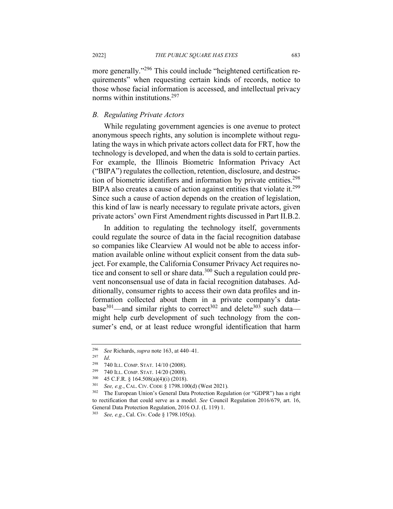more generally."<sup>296</sup> This could include "heightened certification requirements" when requesting certain kinds of records, notice to those whose facial information is accessed, and intellectual privacy norms within institutions.297

#### *B. Regulating Private Actors*

While regulating government agencies is one avenue to protect anonymous speech rights, any solution is incomplete without regulating the ways in which private actors collect data for FRT, how the technology is developed, and when the data is sold to certain parties. For example, the Illinois Biometric Information Privacy Act ("BIPA") regulates the collection, retention, disclosure, and destruction of biometric identifiers and information by private entities.<sup>298</sup> BIPA also creates a cause of action against entities that violate it.<sup>299</sup> Since such a cause of action depends on the creation of legislation, this kind of law is nearly necessary to regulate private actors, given private actors' own First Amendment rights discussed in Part II.B.2.

In addition to regulating the technology itself, governments could regulate the source of data in the facial recognition database so companies like Clearview AI would not be able to access information available online without explicit consent from the data subject. For example, the California Consumer Privacy Act requires notice and consent to sell or share data.<sup>300</sup> Such a regulation could prevent nonconsensual use of data in facial recognition databases. Additionally, consumer rights to access their own data profiles and information collected about them in a private company's database<sup>301</sup>—and similar rights to correct<sup>302</sup> and delete<sup>303</sup> such data might help curb development of such technology from the consumer's end, or at least reduce wrongful identification that harm

<sup>296</sup> *See* Richards, *supra* note 163, at 440–41.

 $\frac{297}{298}$  *Id.* 

<sup>298</sup> 740 ILL. COMP. STAT. 14/10 (2008).

<sup>299</sup> 740 ILL. COMP. STAT. 14/20 (2008).

 $^{300}$  45 C.F.R. § 164.508(a)(4)(i) (2018).<br> $^{301}$  See e.g. CAL CIV CODE 8,1798,100

See, e.g., CAL. CIV. CODE § 1798.100(d) (West 2021).

<sup>302</sup> The European Union's General Data Protection Regulation (or "GDPR") has a right to rectification that could serve as a model. *See* Council Regulation 2016/679, art. 16, General Data Protection Regulation, 2016 O.J. (L 119) 1.

<sup>303</sup> *See, e.g.*, Cal. Civ. Code § 1798.105(a).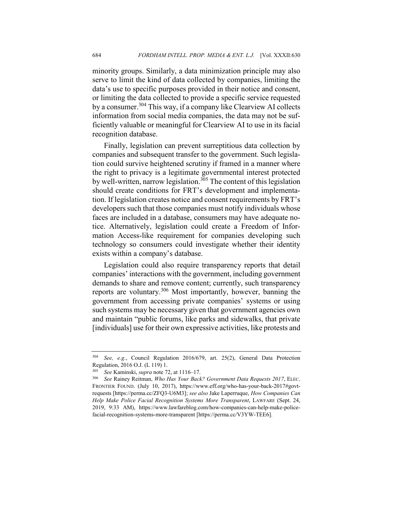minority groups. Similarly, a data minimization principle may also serve to limit the kind of data collected by companies, limiting the data's use to specific purposes provided in their notice and consent, or limiting the data collected to provide a specific service requested by a consumer.<sup>304</sup> This way, if a company like Clearview AI collects information from social media companies, the data may not be sufficiently valuable or meaningful for Clearview AI to use in its facial recognition database.

Finally, legislation can prevent surreptitious data collection by companies and subsequent transfer to the government. Such legislation could survive heightened scrutiny if framed in a manner where the right to privacy is a legitimate governmental interest protected by well-written, narrow legislation.<sup>305</sup> The content of this legislation should create conditions for FRT's development and implementation. If legislation creates notice and consent requirements by FRT's developers such that those companies must notify individuals whose faces are included in a database, consumers may have adequate notice. Alternatively, legislation could create a Freedom of Information Access-like requirement for companies developing such technology so consumers could investigate whether their identity exists within a company's database.

Legislation could also require transparency reports that detail companies' interactions with the government, including government demands to share and remove content; currently, such transparency reports are voluntary.<sup>306</sup> Most importantly, however, banning the government from accessing private companies' systems or using such systems may be necessary given that government agencies own and maintain "public forums, like parks and sidewalks, that private [individuals] use for their own expressive activities, like protests and

<sup>304</sup> *See, e.g.*, Council Regulation 2016/679, art. 25(2), General Data Protection Regulation, 2016 O.J. (L 119) 1.

<sup>305</sup> *See* Kaminski, *supra* note 72, at 1116–17.

<sup>306</sup> *See* Rainey Reitman, *Who Has Your Back? Government Data Requests 2017*, ELEC. FRONTIER FOUND. (July 10, 2017), https://www.eff.org/who-has-your-back-2017#govtrequests [https://perma.cc/ZFQ3-U6M3]; *see also* Jake Laperruque, *How Companies Can Help Make Police Facial Recognition Systems More Transparent*, LAWFARE (Sept. 24, 2019, 9:33 AM), https://www.lawfareblog.com/how-companies-can-help-make-policefacial-recognition-systems-more-transparent [https://perma.cc/V3YW-TEE6].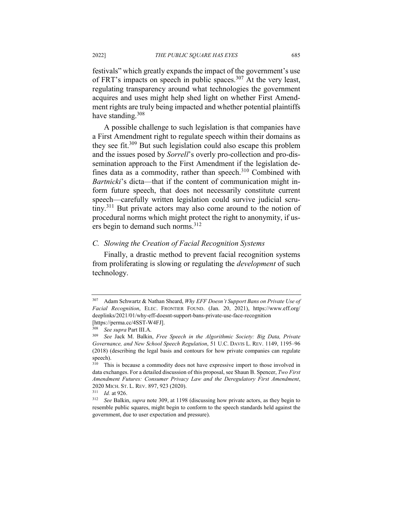festivals" which greatly expands the impact of the government's use of FRT's impacts on speech in public spaces.<sup>307</sup> At the very least, regulating transparency around what technologies the government acquires and uses might help shed light on whether First Amendment rights are truly being impacted and whether potential plaintiffs have standing.  $308$ 

A possible challenge to such legislation is that companies have a First Amendment right to regulate speech within their domains as they see fit.<sup>309</sup> But such legislation could also escape this problem and the issues posed by *Sorrell*'s overly pro-collection and pro-dissemination approach to the First Amendment if the legislation defines data as a commodity, rather than speech. $310$  Combined with *Bartnicki*'s dicta—that if the content of communication might inform future speech, that does not necessarily constitute current speech—carefully written legislation could survive judicial scrutiny.<sup>311</sup> But private actors may also come around to the notion of procedural norms which might protect the right to anonymity, if users begin to demand such norms.<sup>312</sup>

#### *C. Slowing the Creation of Facial Recognition Systems*

Finally, a drastic method to prevent facial recognition systems from proliferating is slowing or regulating the *development* of such technology.

<sup>307</sup> Adam Schwartz & Nathan Sheard, *Why EFF Doesn't Support Bans on Private Use of Facial Recognition*, ELEC. FRONTIER FOUND. (Jan. 20, 2021), https://www.eff.org/ deeplinks/2021/01/why-eff-doesnt-support-bans-private-use-face-recognition [https://perma.cc/4SST-W4FJ].

<sup>308</sup> *See supra* Part III.A.

<sup>309</sup> *See* Jack M. Balkin, *Free Speech in the Algorithmic Society: Big Data, Private Governance, and New School Speech Regulation*, 51 U.C. DAVIS L. REV. 1149, 1195–96 (2018) (describing the legal basis and contours for how private companies can regulate speech).<br> $\frac{310}{\text{Thi}}$ 

This is because a commodity does not have expressive import to those involved in data exchanges. For a detailed discussion of this proposal, see Shaun B. Spencer, *Two First Amendment Futures: Consumer Privacy Law and the Deregulatory First Amendment*, 2020 MICH. ST. L. REV. 897, 923 (2020).

<sup>311</sup> *Id.* at 926.

<sup>312</sup> *See* Balkin, *supra* note 309, at 1198 (discussing how private actors, as they begin to resemble public squares, might begin to conform to the speech standards held against the government, due to user expectation and pressure).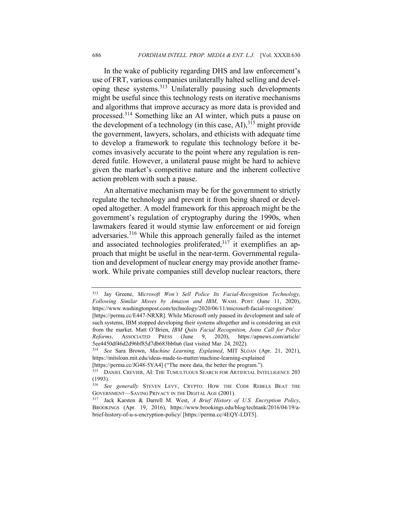In the wake of publicity regarding DHS and law enforcement's use of FRT, various companies unilaterally halted selling and developing these systems.313 Unilaterally pausing such developments might be useful since this technology rests on iterative mechanisms and algorithms that improve accuracy as more data is provided and processed.<sup>314</sup> Something like an AI winter, which puts a pause on the development of a technology (in this case, AI),  $315$  might provide the government, lawyers, scholars, and ethicists with adequate time to develop a framework to regulate this technology before it becomes invasively accurate to the point where any regulation is rendered futile. However, a unilateral pause might be hard to achieve given the market's competitive nature and the inherent collective action problem with such a pause.

An alternative mechanism may be for the government to strictly regulate the technology and prevent it from being shared or developed altogether. A model framework for this approach might be the government's regulation of cryptography during the 1990s, when lawmakers feared it would stymie law enforcement or aid foreign adversaries.<sup>316</sup> While this approach generally failed as the internet and associated technologies proliferated, $317$  it exemplifies an approach that might be useful in the near-term. Governmental regulation and development of nuclear energy may provide another framework. While private companies still develop nuclear reactors, there

[https://perma.cc/JG48-5YA4] ("The more data, the better the program.").

<sup>313</sup> Jay Greene, *Microsoft Won't Sell Police Its Facial-Recognition Technology, Following Similar Moves by Amazon and IBM*, WASH. POST (June 11, 2020), https://www.washingtonpost.com/technology/2020/06/11/microsoft-facial-recognition/

<sup>[</sup>https://perma.cc/E447-NRXR]. While Microsoft only paused its development and sale of such systems, IBM stopped developing their systems altogether and is considering an exit from the market. Matt O'Brien, *IBM Quits Facial Recognition, Joins Call for Police Reforms*, ASSOCIATED PRESS (June 9, 2020), https://apnews.com/article/ 5ee4450df46d2d96bf85d7db683bb0a6 (last visited Mar. 24, 2022).

<sup>314</sup> *See* Sara Brown, *Machine Learning, Explained*, MIT SLOAN (Apr. 21, 2021), https://mitsloan.mit.edu/ideas-made-to-matter/machine-learning-explained

<sup>&</sup>lt;sup>315</sup> DANIEL CREVIER, AI: THE TUMULTUOUS SEARCH FOR ARTIFICIAL INTELLIGENCE 203 (1993).

<sup>316</sup> *See generally* STEVEN LEVY, CRYPTO: HOW THE CODE REBELS BEAT THE GOVERNMENT—SAVING PRIVACY IN THE DIGITAL AGE (2001).

<sup>317</sup> Jack Karsten & Darrell M. West, *A Brief History of U.S. Encryption Policy*, BROOKINGS (Apr. 19, 2016), https://www.brookings.edu/blog/techtank/2016/04/19/abrief-history-of-u-s-encryption-policy/ [https://perma.cc/4EQY-LDT5].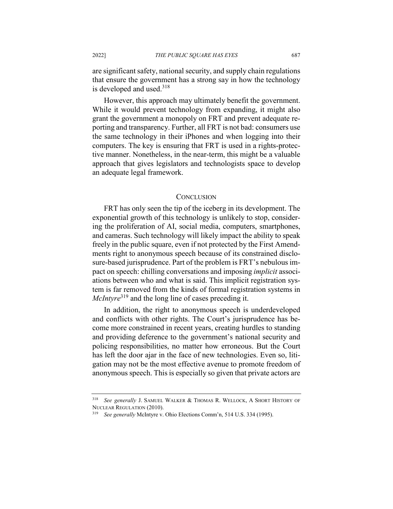are significant safety, national security, and supply chain regulations that ensure the government has a strong say in how the technology is developed and used. $318$ 

However, this approach may ultimately benefit the government. While it would prevent technology from expanding, it might also grant the government a monopoly on FRT and prevent adequate reporting and transparency. Further, all FRT is not bad: consumers use the same technology in their iPhones and when logging into their computers. The key is ensuring that FRT is used in a rights-protective manner. Nonetheless, in the near-term, this might be a valuable approach that gives legislators and technologists space to develop an adequate legal framework.

#### **CONCLUSION**

FRT has only seen the tip of the iceberg in its development. The exponential growth of this technology is unlikely to stop, considering the proliferation of AI, social media, computers, smartphones, and cameras. Such technology will likely impact the ability to speak freely in the public square, even if not protected by the First Amendments right to anonymous speech because of its constrained disclosure-based jurisprudence. Part of the problem is FRT's nebulous impact on speech: chilling conversations and imposing *implicit* associations between who and what is said. This implicit registration system is far removed from the kinds of formal registration systems in *McIntyre*<sup>319</sup> and the long line of cases preceding it.

In addition, the right to anonymous speech is underdeveloped and conflicts with other rights. The Court's jurisprudence has become more constrained in recent years, creating hurdles to standing and providing deference to the government's national security and policing responsibilities, no matter how erroneous. But the Court has left the door ajar in the face of new technologies. Even so, litigation may not be the most effective avenue to promote freedom of anonymous speech. This is especially so given that private actors are

<sup>318</sup> *See generally* J. SAMUEL WALKER & THOMAS R. WELLOCK, A SHORT HISTORY OF NUCLEAR REGULATION (2010).

<sup>319</sup> *See generally* McIntyre v. Ohio Elections Comm'n, 514 U.S. 334 (1995).